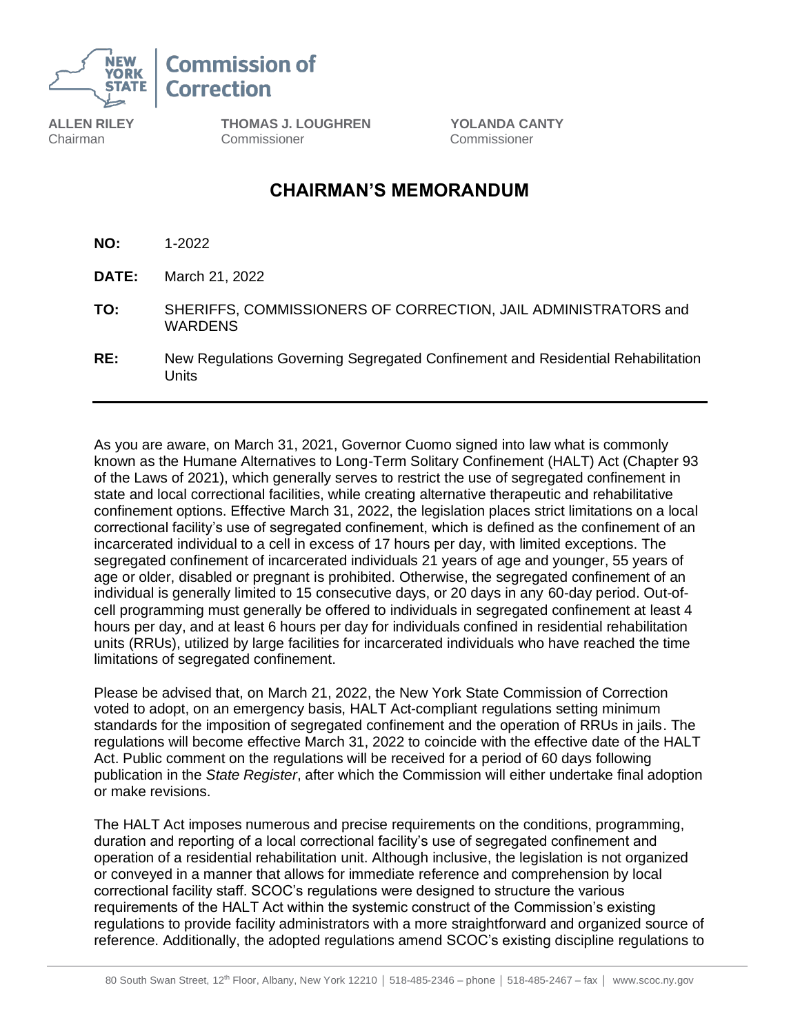

**Commission of Correction** 

**ALLEN RILEY** Chairman

**THOMAS J. LOUGHREN YOLANDA CANTY**  Commissioner Commissioner

# **CHAIRMAN'S MEMORANDUM**

- **NO:** 1-2022
- **DATE:** March 21, 2022
- **TO:** SHERIFFS, COMMISSIONERS OF CORRECTION, JAIL ADMINISTRATORS and **WARDENS**
- **RE:** New Regulations Governing Segregated Confinement and Residential Rehabilitation Units

As you are aware, on March 31, 2021, Governor Cuomo signed into law what is commonly known as the Humane Alternatives to Long-Term Solitary Confinement (HALT) Act (Chapter 93 of the Laws of 2021), which generally serves to restrict the use of segregated confinement in state and local correctional facilities, while creating alternative therapeutic and rehabilitative confinement options. Effective March 31, 2022, the legislation places strict limitations on a local correctional facility's use of segregated confinement, which is defined as the confinement of an incarcerated individual to a cell in excess of 17 hours per day, with limited exceptions. The segregated confinement of incarcerated individuals 21 years of age and younger, 55 years of age or older, disabled or pregnant is prohibited. Otherwise, the segregated confinement of an individual is generally limited to 15 consecutive days, or 20 days in any 60-day period. Out-ofcell programming must generally be offered to individuals in segregated confinement at least 4 hours per day, and at least 6 hours per day for individuals confined in residential rehabilitation units (RRUs), utilized by large facilities for incarcerated individuals who have reached the time limitations of segregated confinement.

Please be advised that, on March 21, 2022, the New York State Commission of Correction voted to adopt, on an emergency basis, HALT Act-compliant regulations setting minimum standards for the imposition of segregated confinement and the operation of RRUs in jails. The regulations will become effective March 31, 2022 to coincide with the effective date of the HALT Act. Public comment on the regulations will be received for a period of 60 days following publication in the *State Register*, after which the Commission will either undertake final adoption or make revisions.

The HALT Act imposes numerous and precise requirements on the conditions, programming, duration and reporting of a local correctional facility's use of segregated confinement and operation of a residential rehabilitation unit. Although inclusive, the legislation is not organized or conveyed in a manner that allows for immediate reference and comprehension by local correctional facility staff. SCOC's regulations were designed to structure the various requirements of the HALT Act within the systemic construct of the Commission's existing regulations to provide facility administrators with a more straightforward and organized source of reference. Additionally, the adopted regulations amend SCOC's existing discipline regulations to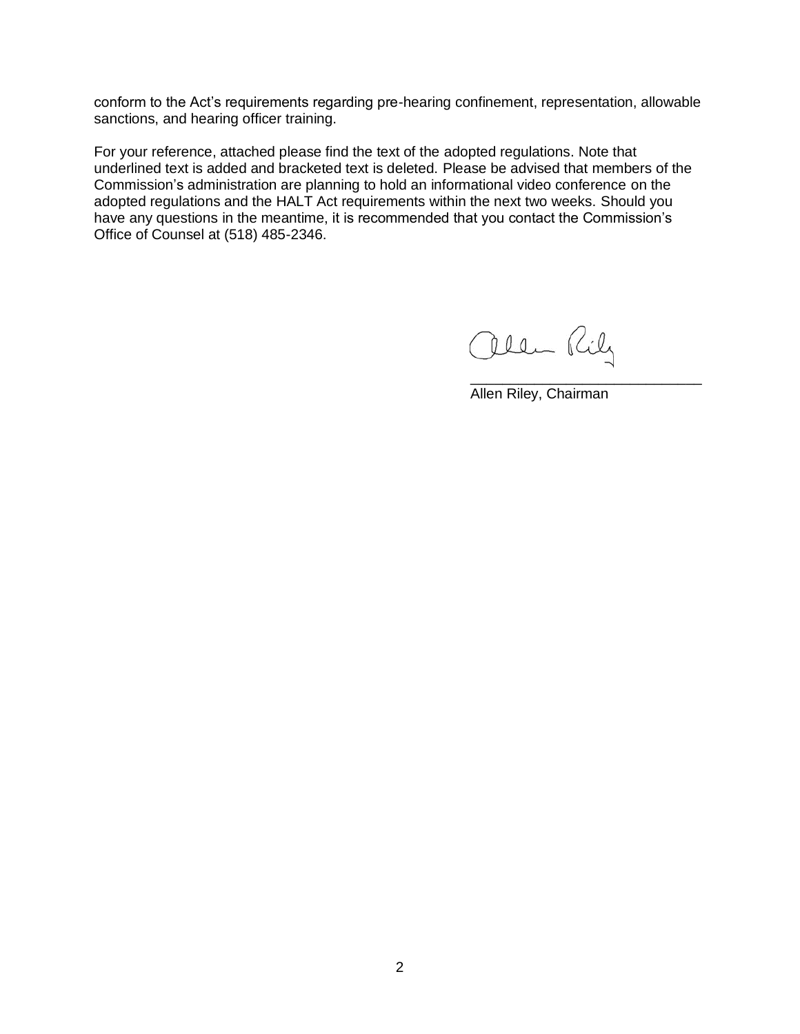conform to the Act's requirements regarding pre-hearing confinement, representation, allowable sanctions, and hearing officer training.

For your reference, attached please find the text of the adopted regulations. Note that underlined text is added and bracketed text is deleted. Please be advised that members of the Commission's administration are planning to hold an informational video conference on the adopted regulations and the HALT Act requirements within the next two weeks. Should you have any questions in the meantime, it is recommended that you contact the Commission's Office of Counsel at (518) 485-2346.

allen Rily

Allen Riley, Chairman

\_\_\_\_\_\_\_\_\_\_\_\_\_\_\_\_\_\_\_\_\_\_\_\_\_\_\_\_\_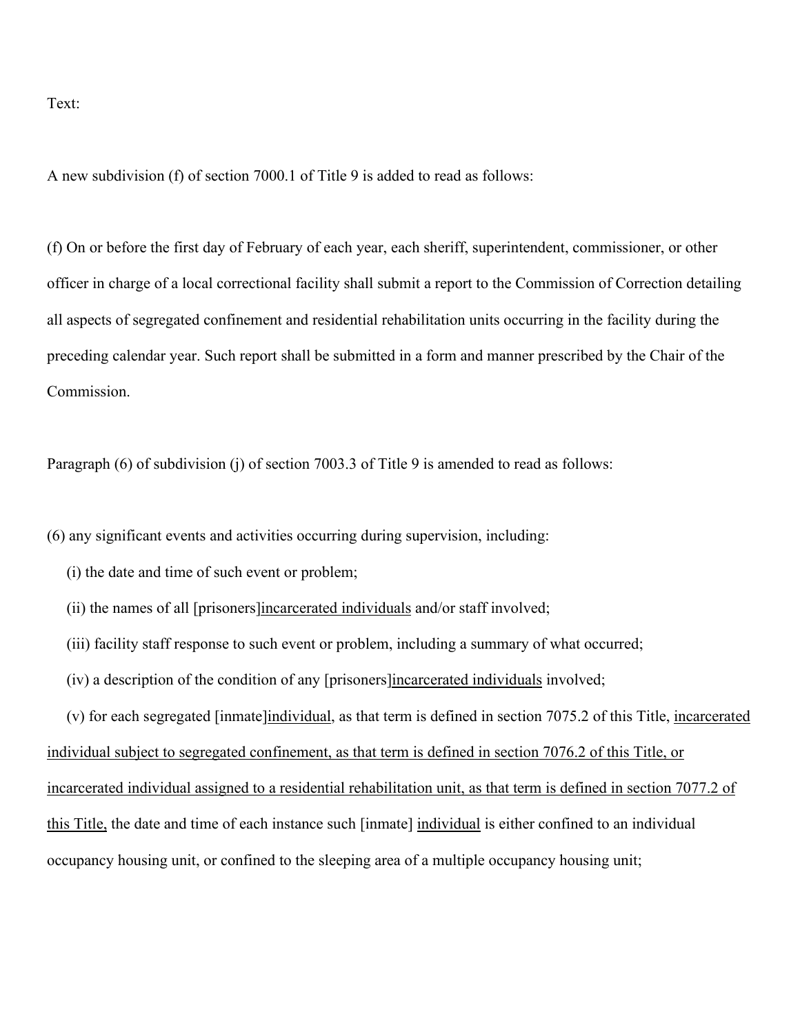Text:

A new subdivision (f) of section 7000.1 of Title 9 is added to read as follows:

(f) On or before the first day of February of each year, each sheriff, superintendent, commissioner, or other officer in charge of a local correctional facility shall submit a report to the Commission of Correction detailing all aspects of segregated confinement and residential rehabilitation units occurring in the facility during the preceding calendar year. Such report shall be submitted in a form and manner prescribed by the Chair of the Commission.

Paragraph (6) of subdivision (j) of section 7003.3 of Title 9 is amended to read as follows:

(6) any significant events and activities occurring during supervision, including:

- (i) the date and time of such event or problem;
- (ii) the names of all [prisoners]incarcerated individuals and/or staff involved;
- (iii) facility staff response to such event or problem, including a summary of what occurred;

individual subject to segregated confinement, as that term is defined in section 7076.2 of this Title, or

- (iv) a description of the condition of any [prisoners]incarcerated individuals involved;
- (v) for each segregated [inmate]individual, as that term is defined in section 7075.2 of this Title, incarcerated

incarcerated individual assigned to a residential rehabilitation unit, as that term is defined in section 7077.2 of this Title, the date and time of each instance such [inmate] individual is either confined to an individual occupancy housing unit, or confined to the sleeping area of a multiple occupancy housing unit;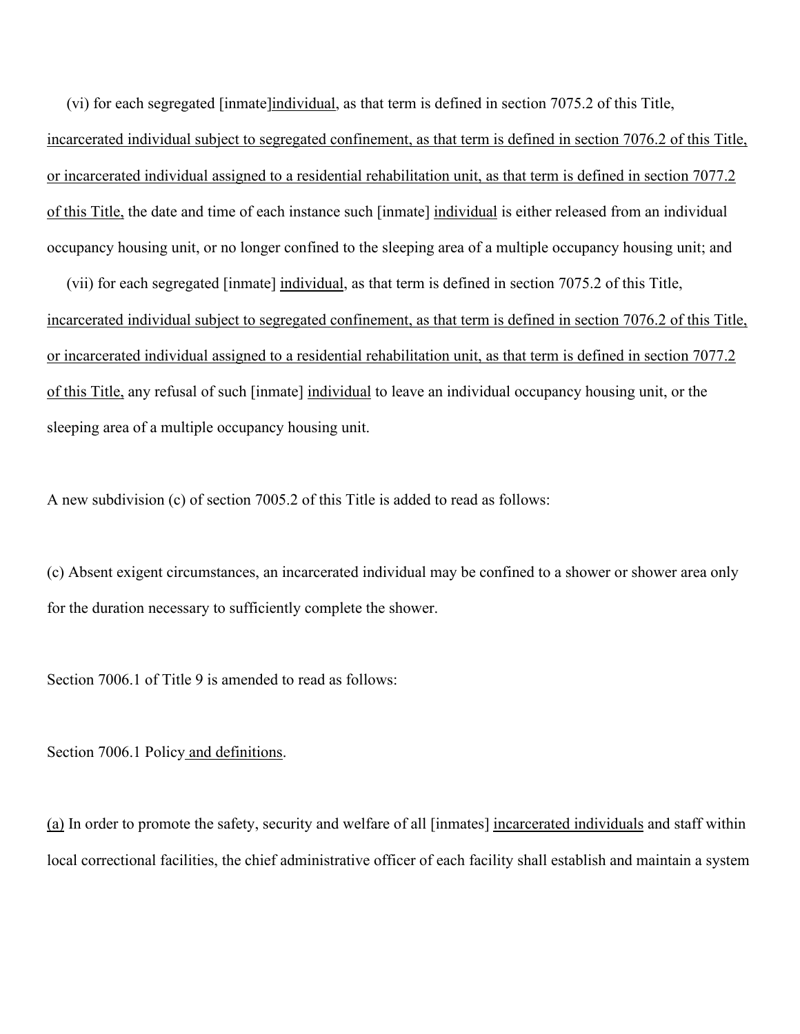(vi) for each segregated [inmate]individual, as that term is defined in section 7075.2 of this Title, incarcerated individual subject to segregated confinement, as that term is defined in section 7076.2 of this Title, or incarcerated individual assigned to a residential rehabilitation unit, as that term is defined in section 7077.2 of this Title, the date and time of each instance such [inmate] individual is either released from an individual occupancy housing unit, or no longer confined to the sleeping area of a multiple occupancy housing unit; and

 (vii) for each segregated [inmate] individual, as that term is defined in section 7075.2 of this Title, incarcerated individual subject to segregated confinement, as that term is defined in section 7076.2 of this Title, or incarcerated individual assigned to a residential rehabilitation unit, as that term is defined in section 7077.2 of this Title, any refusal of such [inmate] individual to leave an individual occupancy housing unit, or the sleeping area of a multiple occupancy housing unit.

A new subdivision (c) of section 7005.2 of this Title is added to read as follows:

(c) Absent exigent circumstances, an incarcerated individual may be confined to a shower or shower area only for the duration necessary to sufficiently complete the shower.

Section 7006.1 of Title 9 is amended to read as follows:

Section 7006.1 Policy and definitions.

(a) In order to promote the safety, security and welfare of all [inmates] incarcerated individuals and staff within local correctional facilities, the chief administrative officer of each facility shall establish and maintain a system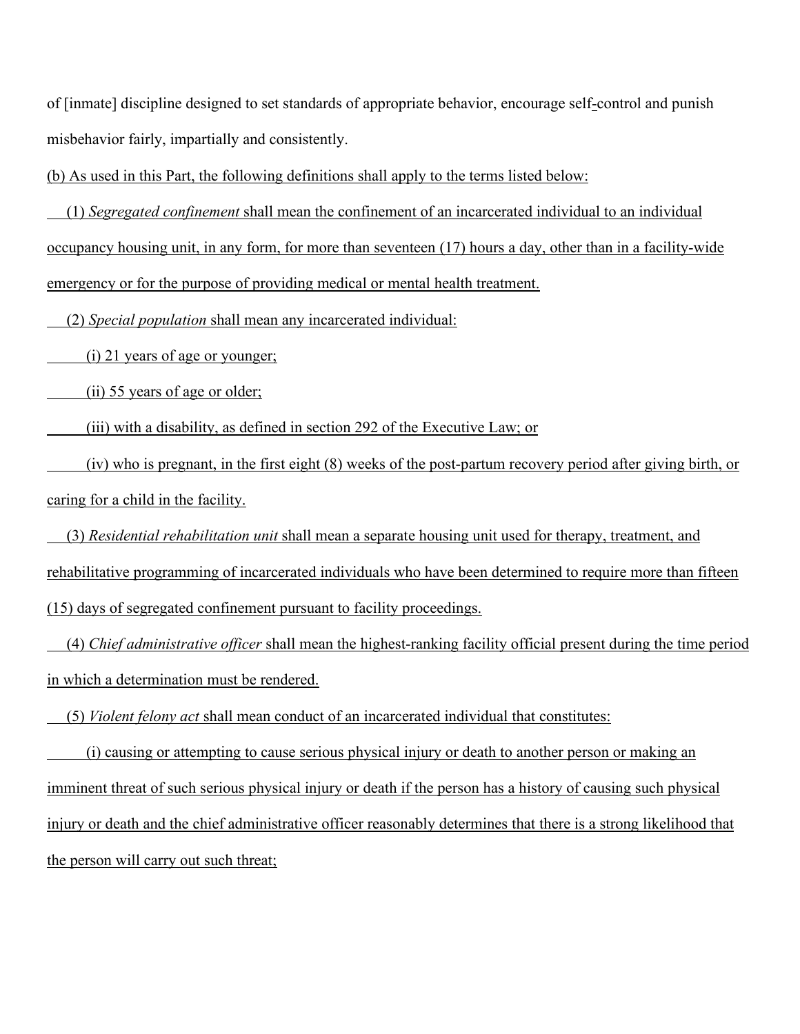of [inmate] discipline designed to set standards of appropriate behavior, encourage self-control and punish misbehavior fairly, impartially and consistently.

(b) As used in this Part, the following definitions shall apply to the terms listed below:

 (1) *Segregated confinement* shall mean the confinement of an incarcerated individual to an individual occupancy housing unit, in any form, for more than seventeen (17) hours a day, other than in a facility-wide emergency or for the purpose of providing medical or mental health treatment.

(2) *Special population* shall mean any incarcerated individual:

(i) 21 years of age or younger;

(ii) 55 years of age or older;

(iii) with a disability, as defined in section 292 of the Executive Law; or

 (iv) who is pregnant, in the first eight (8) weeks of the post-partum recovery period after giving birth, or caring for a child in the facility.

 (3) *Residential rehabilitation unit* shall mean a separate housing unit used for therapy, treatment, and rehabilitative programming of incarcerated individuals who have been determined to require more than fifteen (15) days of segregated confinement pursuant to facility proceedings.

 (4) *Chief administrative officer* shall mean the highest-ranking facility official present during the time period in which a determination must be rendered.

(5) *Violent felony act* shall mean conduct of an incarcerated individual that constitutes:

 (i) causing or attempting to cause serious physical injury or death to another person or making an imminent threat of such serious physical injury or death if the person has a history of causing such physical injury or death and the chief administrative officer reasonably determines that there is a strong likelihood that the person will carry out such threat;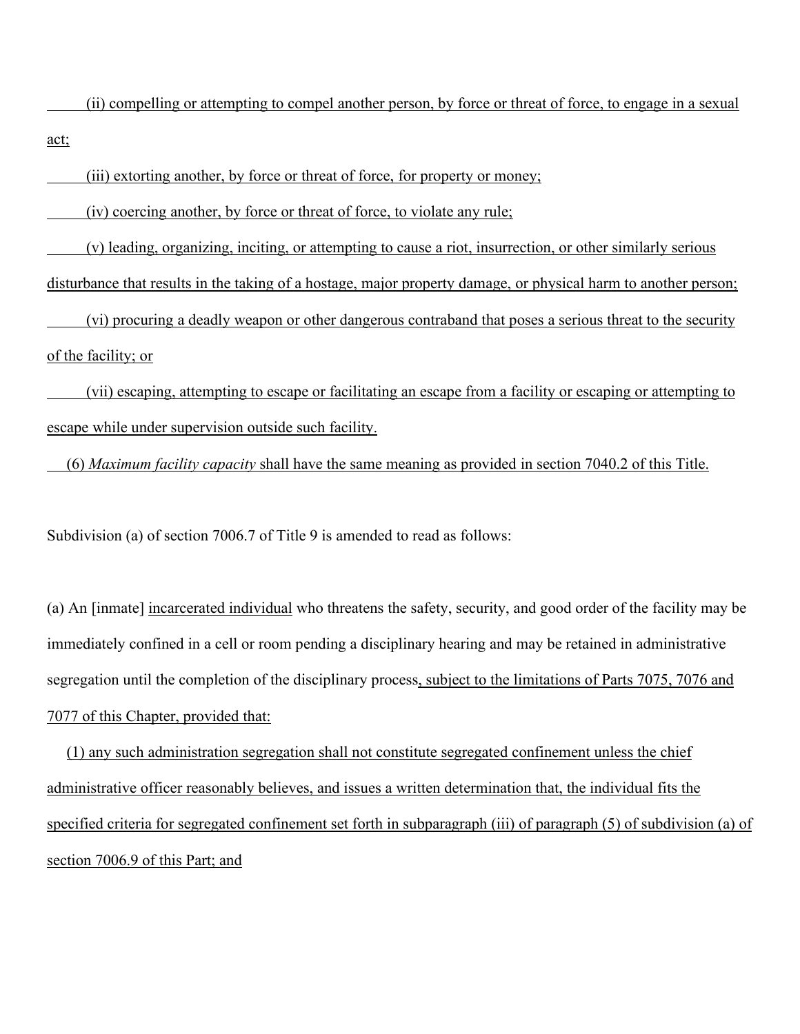(ii) compelling or attempting to compel another person, by force or threat of force, to engage in a sexual act;

(iii) extorting another, by force or threat of force, for property or money;

(iv) coercing another, by force or threat of force, to violate any rule;

(v) leading, organizing, inciting, or attempting to cause a riot, insurrection, or other similarly serious

disturbance that results in the taking of a hostage, major property damage, or physical harm to another person;

 (vi) procuring a deadly weapon or other dangerous contraband that poses a serious threat to the security of the facility; or

 (vii) escaping, attempting to escape or facilitating an escape from a facility or escaping or attempting to escape while under supervision outside such facility.

(6) *Maximum facility capacity* shall have the same meaning as provided in section 7040.2 of this Title.

Subdivision (a) of section 7006.7 of Title 9 is amended to read as follows:

(a) An [inmate] incarcerated individual who threatens the safety, security, and good order of the facility may be immediately confined in a cell or room pending a disciplinary hearing and may be retained in administrative segregation until the completion of the disciplinary process, subject to the limitations of Parts 7075, 7076 and 7077 of this Chapter, provided that:

 (1) any such administration segregation shall not constitute segregated confinement unless the chief administrative officer reasonably believes, and issues a written determination that, the individual fits the specified criteria for segregated confinement set forth in subparagraph (iii) of paragraph (5) of subdivision (a) of section 7006.9 of this Part; and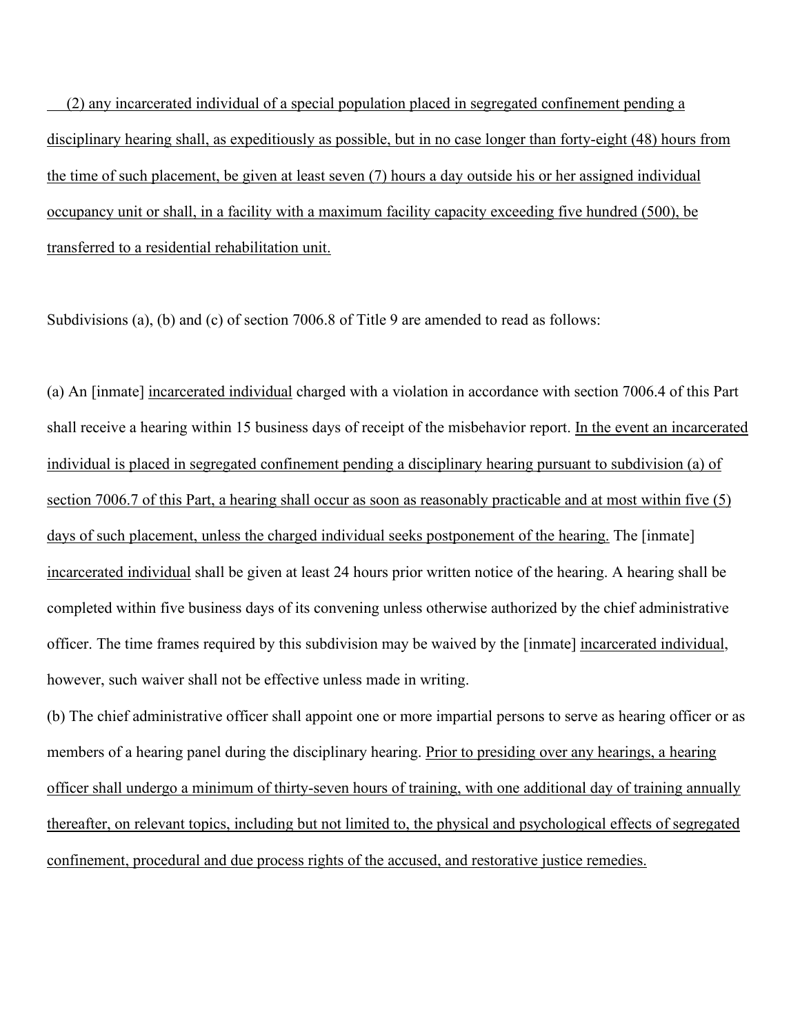(2) any incarcerated individual of a special population placed in segregated confinement pending a disciplinary hearing shall, as expeditiously as possible, but in no case longer than forty-eight (48) hours from the time of such placement, be given at least seven (7) hours a day outside his or her assigned individual occupancy unit or shall, in a facility with a maximum facility capacity exceeding five hundred (500), be transferred to a residential rehabilitation unit.

Subdivisions (a), (b) and (c) of section 7006.8 of Title 9 are amended to read as follows:

(a) An [inmate] incarcerated individual charged with a violation in accordance with section 7006.4 of this Part shall receive a hearing within 15 business days of receipt of the misbehavior report. In the event an incarcerated individual is placed in segregated confinement pending a disciplinary hearing pursuant to subdivision (a) of section 7006.7 of this Part, a hearing shall occur as soon as reasonably practicable and at most within five (5) days of such placement, unless the charged individual seeks postponement of the hearing. The [inmate] incarcerated individual shall be given at least 24 hours prior written notice of the hearing. A hearing shall be completed within five business days of its convening unless otherwise authorized by the chief administrative officer. The time frames required by this subdivision may be waived by the [inmate] incarcerated individual, however, such waiver shall not be effective unless made in writing.

(b) The chief administrative officer shall appoint one or more impartial persons to serve as hearing officer or as members of a hearing panel during the disciplinary hearing. Prior to presiding over any hearings, a hearing officer shall undergo a minimum of thirty-seven hours of training, with one additional day of training annually thereafter, on relevant topics, including but not limited to, the physical and psychological effects of segregated confinement, procedural and due process rights of the accused, and restorative justice remedies.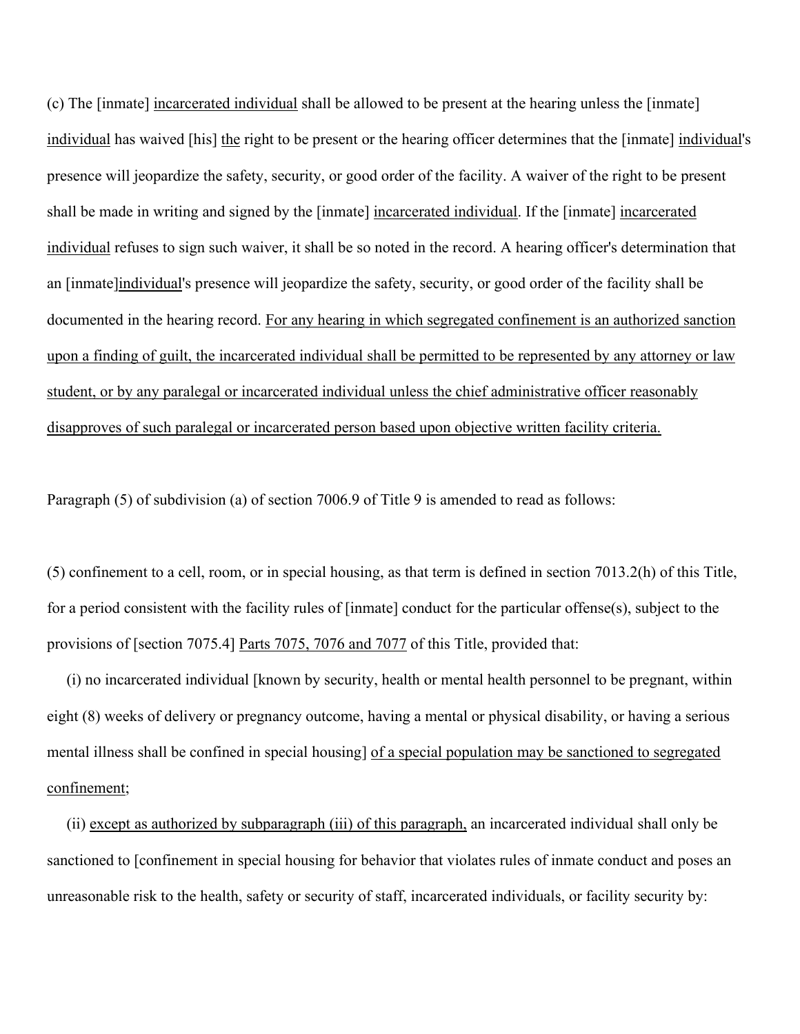(c) The [inmate] incarcerated individual shall be allowed to be present at the hearing unless the [inmate] individual has waived [his] the right to be present or the hearing officer determines that the [inmate] individual's presence will jeopardize the safety, security, or good order of the facility. A waiver of the right to be present shall be made in writing and signed by the [inmate] incarcerated individual. If the [inmate] incarcerated individual refuses to sign such waiver, it shall be so noted in the record. A hearing officer's determination that an [inmate]individual's presence will jeopardize the safety, security, or good order of the facility shall be documented in the hearing record. For any hearing in which segregated confinement is an authorized sanction upon a finding of guilt, the incarcerated individual shall be permitted to be represented by any attorney or law student, or by any paralegal or incarcerated individual unless the chief administrative officer reasonably disapproves of such paralegal or incarcerated person based upon objective written facility criteria.

Paragraph (5) of subdivision (a) of section 7006.9 of Title 9 is amended to read as follows:

(5) confinement to a cell, room, or in special housing, as that term is defined in section 7013.2(h) of this Title, for a period consistent with the facility rules of [inmate] conduct for the particular offense(s), subject to the provisions of [section 7075.4] Parts 7075, 7076 and 7077 of this Title, provided that:

 (i) no incarcerated individual [known by security, health or mental health personnel to be pregnant, within eight (8) weeks of delivery or pregnancy outcome, having a mental or physical disability, or having a serious mental illness shall be confined in special housing] of a special population may be sanctioned to segregated confinement;

 (ii) except as authorized by subparagraph (iii) of this paragraph, an incarcerated individual shall only be sanctioned to [confinement in special housing for behavior that violates rules of inmate conduct and poses an unreasonable risk to the health, safety or security of staff, incarcerated individuals, or facility security by: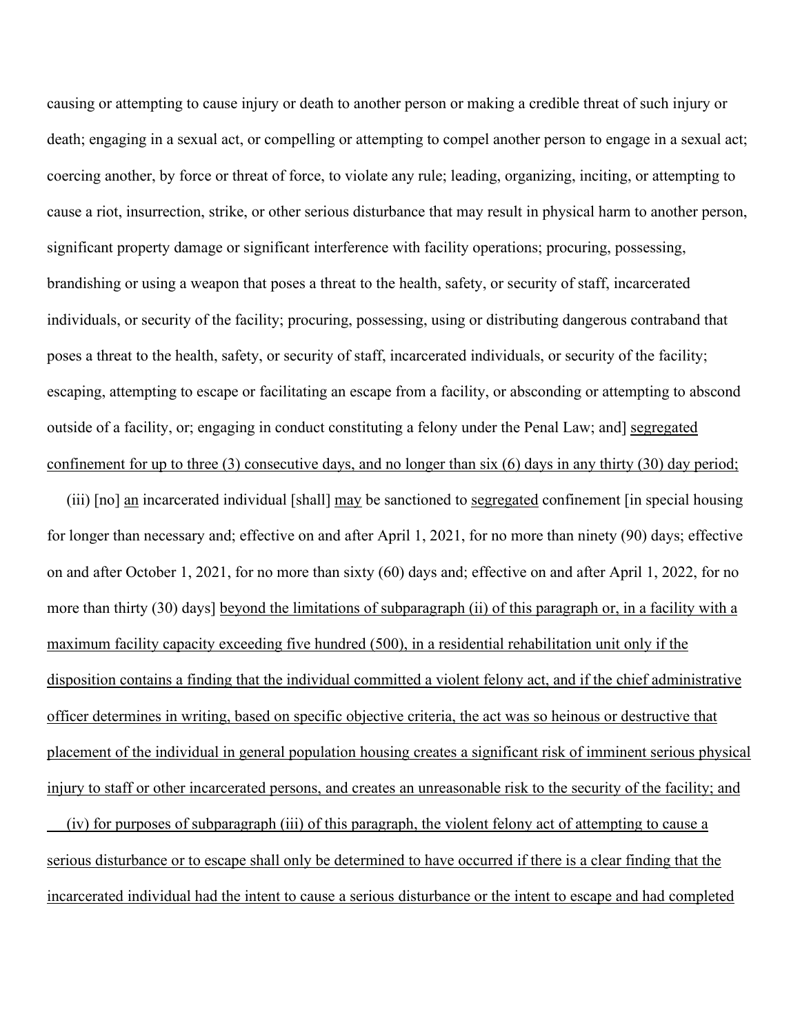causing or attempting to cause injury or death to another person or making a credible threat of such injury or death; engaging in a sexual act, or compelling or attempting to compel another person to engage in a sexual act; coercing another, by force or threat of force, to violate any rule; leading, organizing, inciting, or attempting to cause a riot, insurrection, strike, or other serious disturbance that may result in physical harm to another person, significant property damage or significant interference with facility operations; procuring, possessing, brandishing or using a weapon that poses a threat to the health, safety, or security of staff, incarcerated individuals, or security of the facility; procuring, possessing, using or distributing dangerous contraband that poses a threat to the health, safety, or security of staff, incarcerated individuals, or security of the facility; escaping, attempting to escape or facilitating an escape from a facility, or absconding or attempting to abscond outside of a facility, or; engaging in conduct constituting a felony under the Penal Law; and] segregated confinement for up to three (3) consecutive days, and no longer than six (6) days in any thirty (30) day period;

 (iii) [no] an incarcerated individual [shall] may be sanctioned to segregated confinement [in special housing for longer than necessary and; effective on and after April 1, 2021, for no more than ninety (90) days; effective on and after October 1, 2021, for no more than sixty (60) days and; effective on and after April 1, 2022, for no more than thirty (30) days] beyond the limitations of subparagraph (ii) of this paragraph or, in a facility with a maximum facility capacity exceeding five hundred (500), in a residential rehabilitation unit only if the disposition contains a finding that the individual committed a violent felony act, and if the chief administrative officer determines in writing, based on specific objective criteria, the act was so heinous or destructive that placement of the individual in general population housing creates a significant risk of imminent serious physical injury to staff or other incarcerated persons, and creates an unreasonable risk to the security of the facility; and

 (iv) for purposes of subparagraph (iii) of this paragraph, the violent felony act of attempting to cause a serious disturbance or to escape shall only be determined to have occurred if there is a clear finding that the incarcerated individual had the intent to cause a serious disturbance or the intent to escape and had completed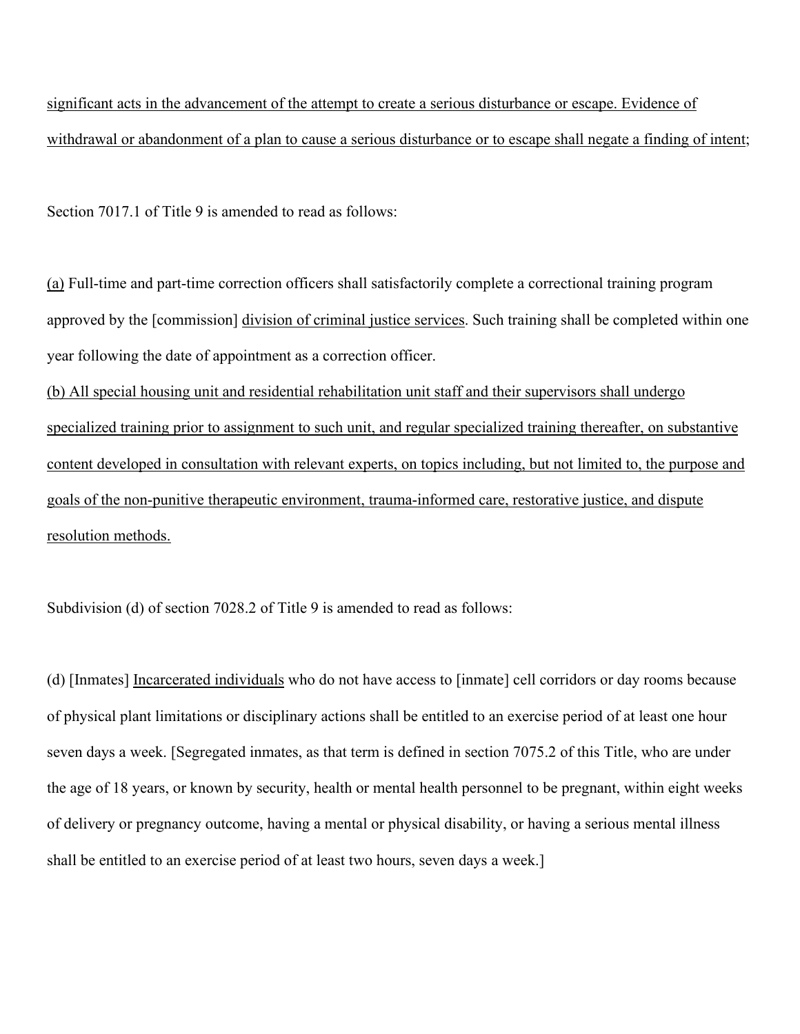significant acts in the advancement of the attempt to create a serious disturbance or escape. Evidence of withdrawal or abandonment of a plan to cause a serious disturbance or to escape shall negate a finding of intent;

Section 7017.1 of Title 9 is amended to read as follows:

(a) Full-time and part-time correction officers shall satisfactorily complete a correctional training program approved by the [commission] division of criminal justice services. Such training shall be completed within one year following the date of appointment as a correction officer.

(b) All special housing unit and residential rehabilitation unit staff and their supervisors shall undergo specialized training prior to assignment to such unit, and regular specialized training thereafter, on substantive content developed in consultation with relevant experts, on topics including, but not limited to, the purpose and goals of the non-punitive therapeutic environment, trauma-informed care, restorative justice, and dispute resolution methods.

Subdivision (d) of section 7028.2 of Title 9 is amended to read as follows:

(d) [Inmates] Incarcerated individuals who do not have access to [inmate] cell corridors or day rooms because of physical plant limitations or disciplinary actions shall be entitled to an exercise period of at least one hour seven days a week. [Segregated inmates, as that term is defined in section 7075.2 of this Title, who are under the age of 18 years, or known by security, health or mental health personnel to be pregnant, within eight weeks of delivery or pregnancy outcome, having a mental or physical disability, or having a serious mental illness shall be entitled to an exercise period of at least two hours, seven days a week.]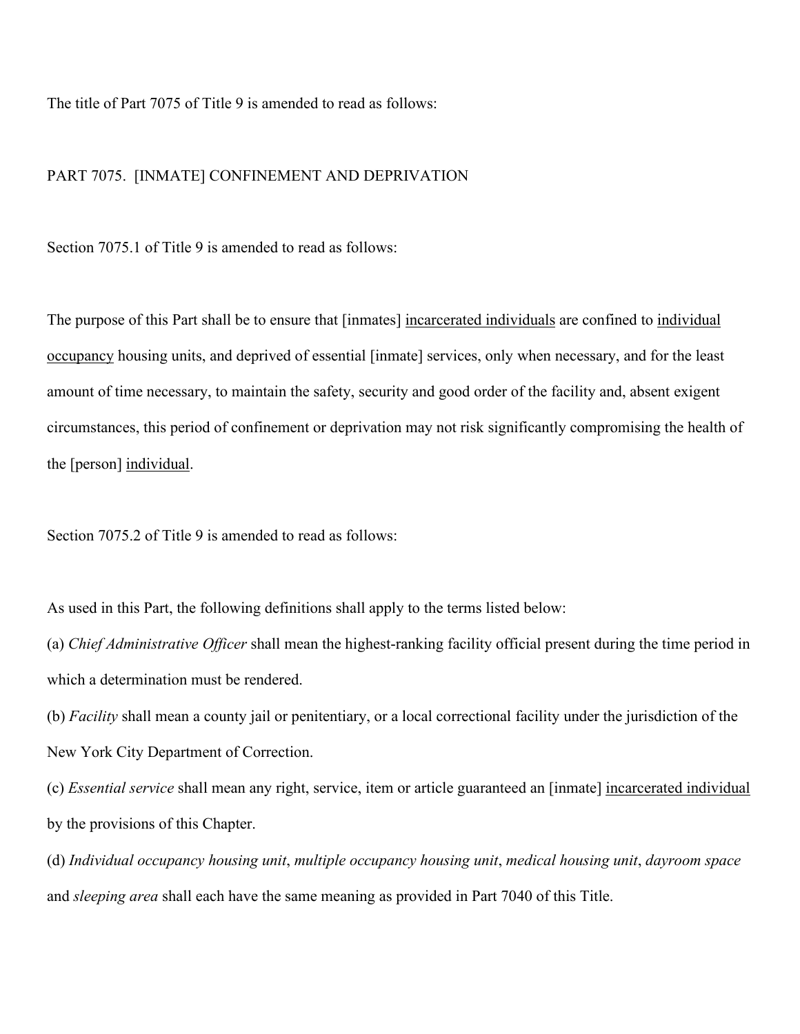The title of Part 7075 of Title 9 is amended to read as follows:

### PART 7075. [INMATE] CONFINEMENT AND DEPRIVATION

Section 7075.1 of Title 9 is amended to read as follows:

The purpose of this Part shall be to ensure that [inmates] incarcerated individuals are confined to individual occupancy housing units, and deprived of essential [inmate] services, only when necessary, and for the least amount of time necessary, to maintain the safety, security and good order of the facility and, absent exigent circumstances, this period of confinement or deprivation may not risk significantly compromising the health of the [person] individual.

Section 7075.2 of Title 9 is amended to read as follows:

As used in this Part, the following definitions shall apply to the terms listed below:

(a) *Chief Administrative Officer* shall mean the highest-ranking facility official present during the time period in which a determination must be rendered.

(b) *Facility* shall mean a county jail or penitentiary, or a local correctional facility under the jurisdiction of the New York City Department of Correction.

(c) *Essential service* shall mean any right, service, item or article guaranteed an [inmate] incarcerated individual by the provisions of this Chapter.

(d) *Individual occupancy housing unit*, *multiple occupancy housing unit*, *medical housing unit*, *dayroom space* and *sleeping area* shall each have the same meaning as provided in Part 7040 of this Title.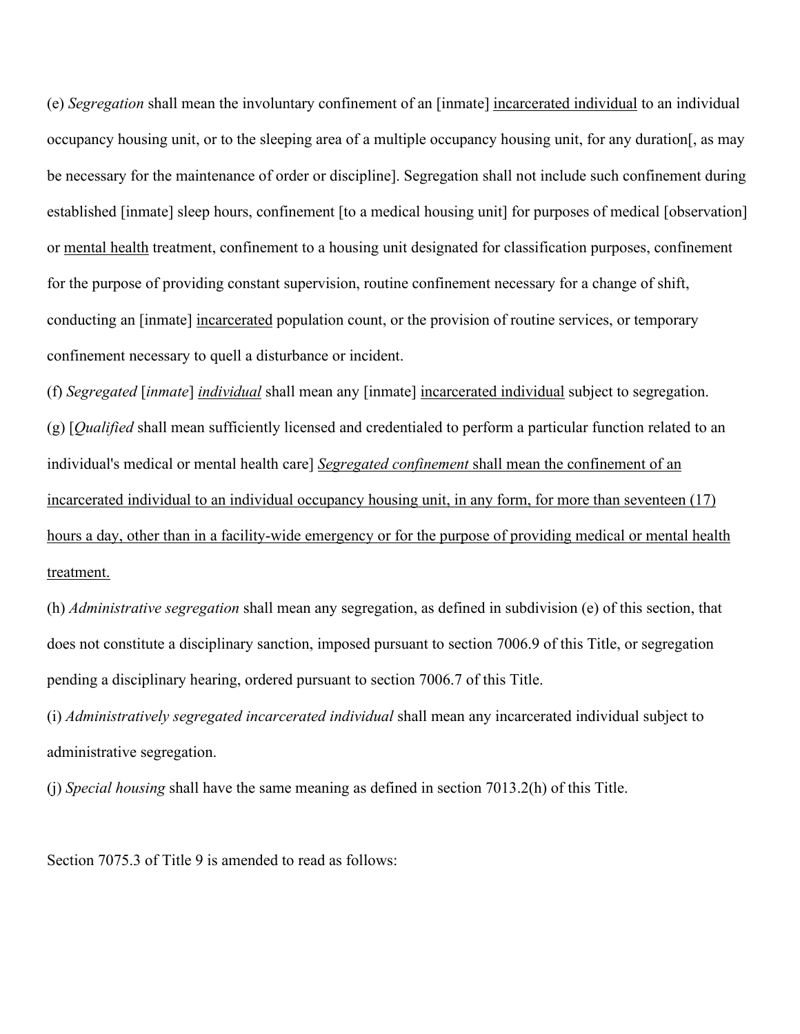(e) *Segregation* shall mean the involuntary confinement of an [inmate] incarcerated individual to an individual occupancy housing unit, or to the sleeping area of a multiple occupancy housing unit, for any duration[, as may be necessary for the maintenance of order or discipline]. Segregation shall not include such confinement during established [inmate] sleep hours, confinement [to a medical housing unit] for purposes of medical [observation] or mental health treatment, confinement to a housing unit designated for classification purposes, confinement for the purpose of providing constant supervision, routine confinement necessary for a change of shift, conducting an [inmate] incarcerated population count, or the provision of routine services, or temporary confinement necessary to quell a disturbance or incident.

(f) *Segregated* [*inmate*] *individual* shall mean any [inmate] incarcerated individual subject to segregation. (g) [*Qualified* shall mean sufficiently licensed and credentialed to perform a particular function related to an individual's medical or mental health care] *Segregated confinement* shall mean the confinement of an incarcerated individual to an individual occupancy housing unit, in any form, for more than seventeen (17) hours a day, other than in a facility-wide emergency or for the purpose of providing medical or mental health treatment.

(h) *Administrative segregation* shall mean any segregation, as defined in subdivision (e) of this section, that does not constitute a disciplinary sanction, imposed pursuant to section 7006.9 of this Title, or segregation pending a disciplinary hearing, ordered pursuant to section 7006.7 of this Title.

(i) *Administratively segregated incarcerated individual* shall mean any incarcerated individual subject to administrative segregation.

(j) *Special housing* shall have the same meaning as defined in section 7013.2(h) of this Title.

Section 7075.3 of Title 9 is amended to read as follows: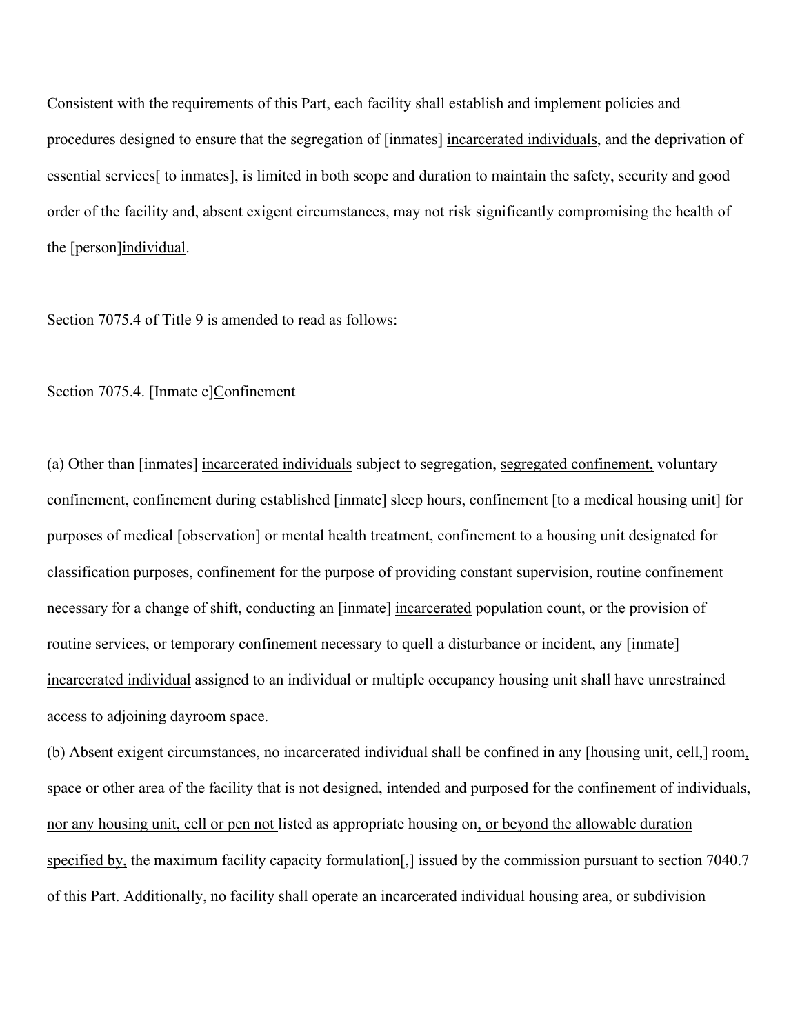Consistent with the requirements of this Part, each facility shall establish and implement policies and procedures designed to ensure that the segregation of [inmates] incarcerated individuals, and the deprivation of essential services[ to inmates], is limited in both scope and duration to maintain the safety, security and good order of the facility and, absent exigent circumstances, may not risk significantly compromising the health of the [person]individual.

Section 7075.4 of Title 9 is amended to read as follows:

Section 7075.4. [Inmate c]Confinement

(a) Other than [inmates] incarcerated individuals subject to segregation, segregated confinement, voluntary confinement, confinement during established [inmate] sleep hours, confinement [to a medical housing unit] for purposes of medical [observation] or mental health treatment, confinement to a housing unit designated for classification purposes, confinement for the purpose of providing constant supervision, routine confinement necessary for a change of shift, conducting an [inmate] incarcerated population count, or the provision of routine services, or temporary confinement necessary to quell a disturbance or incident, any [inmate] incarcerated individual assigned to an individual or multiple occupancy housing unit shall have unrestrained access to adjoining dayroom space.

(b) Absent exigent circumstances, no incarcerated individual shall be confined in any [housing unit, cell,] room, space or other area of the facility that is not designed, intended and purposed for the confinement of individuals, nor any housing unit, cell or pen not listed as appropriate housing on, or beyond the allowable duration specified by, the maximum facility capacity formulation[,] issued by the commission pursuant to section 7040.7 of this Part. Additionally, no facility shall operate an incarcerated individual housing area, or subdivision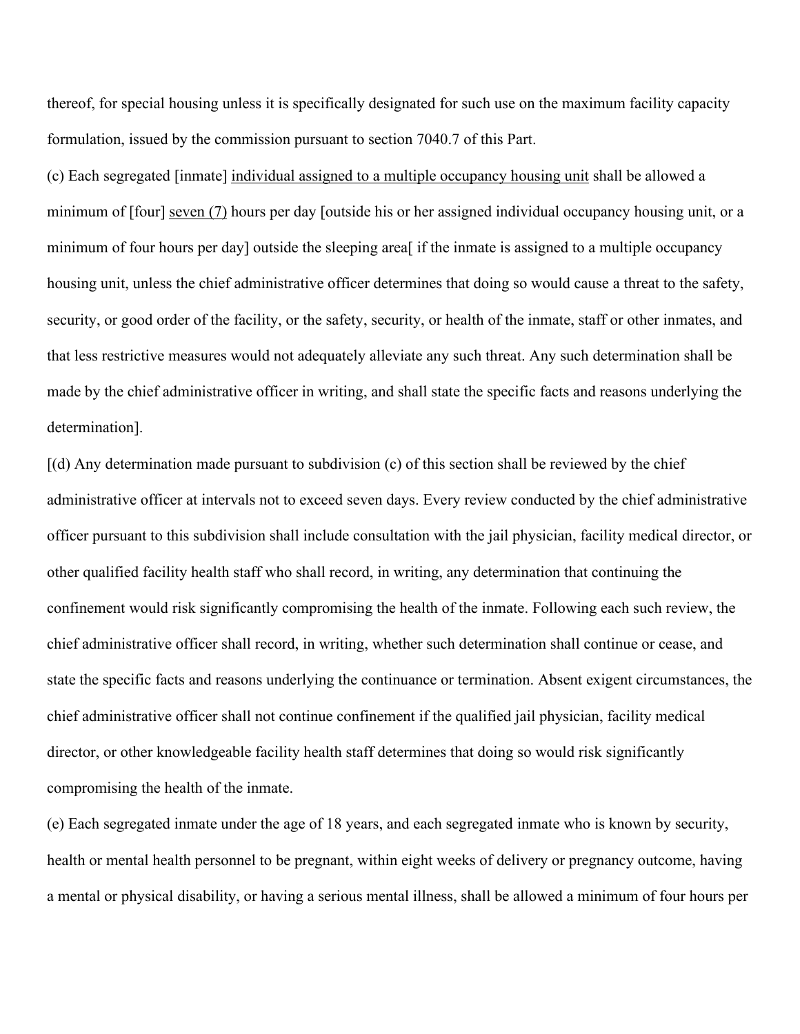thereof, for special housing unless it is specifically designated for such use on the maximum facility capacity formulation, issued by the commission pursuant to section 7040.7 of this Part.

(c) Each segregated [inmate] individual assigned to a multiple occupancy housing unit shall be allowed a minimum of [four] seven (7) hours per day [outside his or her assigned individual occupancy housing unit, or a minimum of four hours per day] outside the sleeping area[ if the inmate is assigned to a multiple occupancy housing unit, unless the chief administrative officer determines that doing so would cause a threat to the safety, security, or good order of the facility, or the safety, security, or health of the inmate, staff or other inmates, and that less restrictive measures would not adequately alleviate any such threat. Any such determination shall be made by the chief administrative officer in writing, and shall state the specific facts and reasons underlying the determination].

[(d) Any determination made pursuant to subdivision (c) of this section shall be reviewed by the chief administrative officer at intervals not to exceed seven days. Every review conducted by the chief administrative officer pursuant to this subdivision shall include consultation with the jail physician, facility medical director, or other qualified facility health staff who shall record, in writing, any determination that continuing the confinement would risk significantly compromising the health of the inmate. Following each such review, the chief administrative officer shall record, in writing, whether such determination shall continue or cease, and state the specific facts and reasons underlying the continuance or termination. Absent exigent circumstances, the chief administrative officer shall not continue confinement if the qualified jail physician, facility medical director, or other knowledgeable facility health staff determines that doing so would risk significantly compromising the health of the inmate.

(e) Each segregated inmate under the age of 18 years, and each segregated inmate who is known by security, health or mental health personnel to be pregnant, within eight weeks of delivery or pregnancy outcome, having a mental or physical disability, or having a serious mental illness, shall be allowed a minimum of four hours per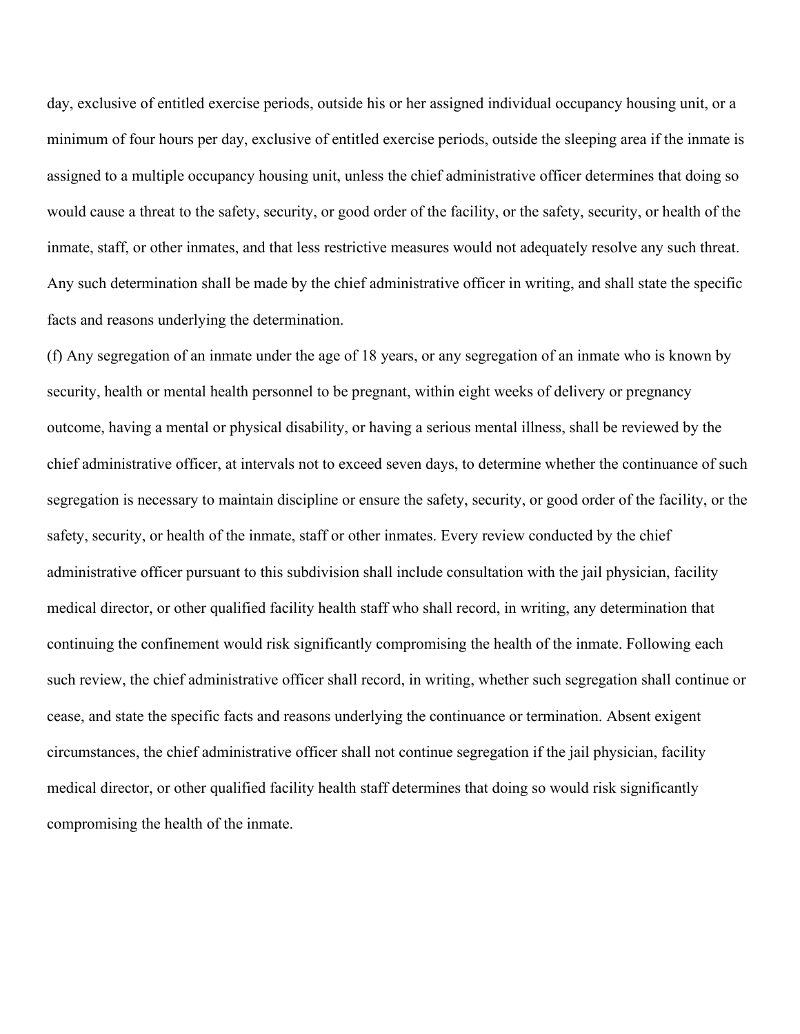day, exclusive of entitled exercise periods, outside his or her assigned individual occupancy housing unit, or a minimum of four hours per day, exclusive of entitled exercise periods, outside the sleeping area if the inmate is assigned to a multiple occupancy housing unit, unless the chief administrative officer determines that doing so would cause a threat to the safety, security, or good order of the facility, or the safety, security, or health of the inmate, staff, or other inmates, and that less restrictive measures would not adequately resolve any such threat. Any such determination shall be made by the chief administrative officer in writing, and shall state the specific facts and reasons underlying the determination.

(f) Any segregation of an inmate under the age of 18 years, or any segregation of an inmate who is known by security, health or mental health personnel to be pregnant, within eight weeks of delivery or pregnancy outcome, having a mental or physical disability, or having a serious mental illness, shall be reviewed by the chief administrative officer, at intervals not to exceed seven days, to determine whether the continuance of such segregation is necessary to maintain discipline or ensure the safety, security, or good order of the facility, or the safety, security, or health of the inmate, staff or other inmates. Every review conducted by the chief administrative officer pursuant to this subdivision shall include consultation with the jail physician, facility medical director, or other qualified facility health staff who shall record, in writing, any determination that continuing the confinement would risk significantly compromising the health of the inmate. Following each such review, the chief administrative officer shall record, in writing, whether such segregation shall continue or cease, and state the specific facts and reasons underlying the continuance or termination. Absent exigent circumstances, the chief administrative officer shall not continue segregation if the jail physician, facility medical director, or other qualified facility health staff determines that doing so would risk significantly compromising the health of the inmate.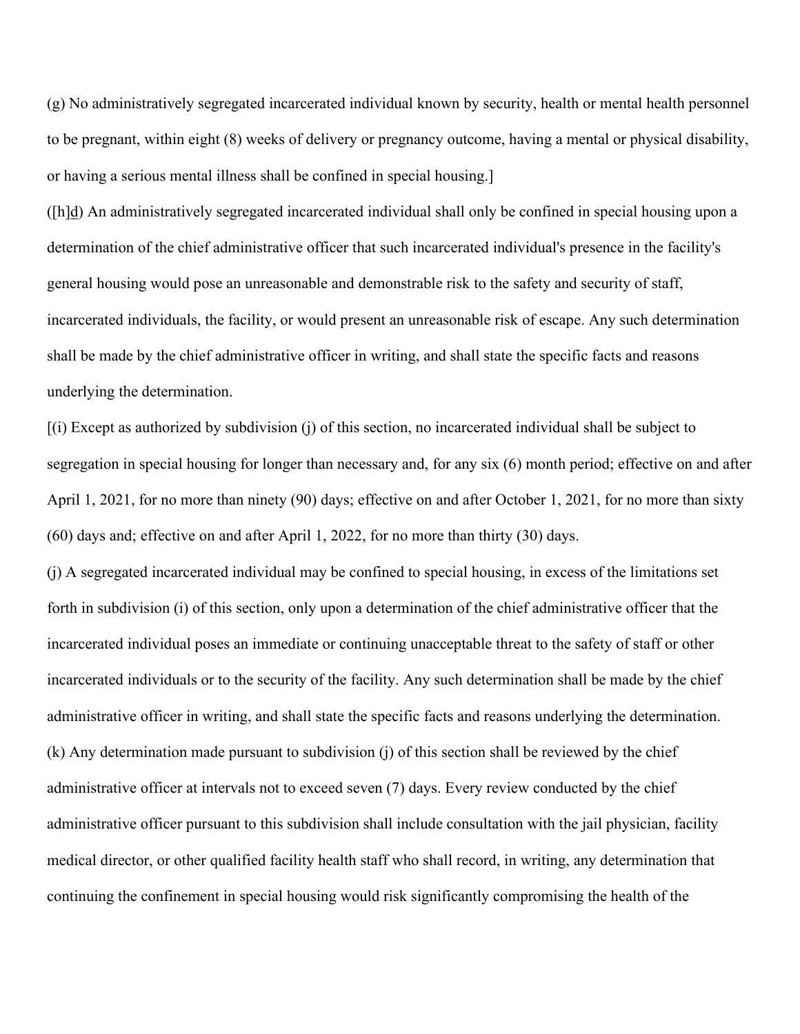(g) No administratively segregated incarcerated individual known by security, health or mental health personnel to be pregnant, within eight (8) weeks of delivery or pregnancy outcome, having a mental or physical disability, or having a serious mental illness shall be confined in special housing.]

([h]d) An administratively segregated incarcerated individual shall only be confined in special housing upon a determination of the chief administrative officer that such incarcerated individual's presence in the facility's general housing would pose an unreasonable and demonstrable risk to the safety and security of staff, incarcerated individuals, the facility, or would present an unreasonable risk of escape. Any such determination shall be made by the chief administrative officer in writing, and shall state the specific facts and reasons underlying the determination.

[(i) Except as authorized by subdivision (j) of this section, no incarcerated individual shall be subject to segregation in special housing for longer than necessary and, for any six (6) month period; effective on and after April 1, 2021, for no more than ninety (90) days; effective on and after October 1, 2021, for no more than sixty (60) days and; effective on and after April 1, 2022, for no more than thirty (30) days.

(j) A segregated incarcerated individual may be confined to special housing, in excess of the limitations set forth in subdivision (i) of this section, only upon a determination of the chief administrative officer that the incarcerated individual poses an immediate or continuing unacceptable threat to the safety of staff or other incarcerated individuals or to the security of the facility. Any such determination shall be made by the chief administrative officer in writing, and shall state the specific facts and reasons underlying the determination. (k) Any determination made pursuant to subdivision (j) of this section shall be reviewed by the chief administrative officer at intervals not to exceed seven (7) days. Every review conducted by the chief administrative officer pursuant to this subdivision shall include consultation with the jail physician, facility medical director, or other qualified facility health staff who shall record, in writing, any determination that continuing the confinement in special housing would risk significantly compromising the health of the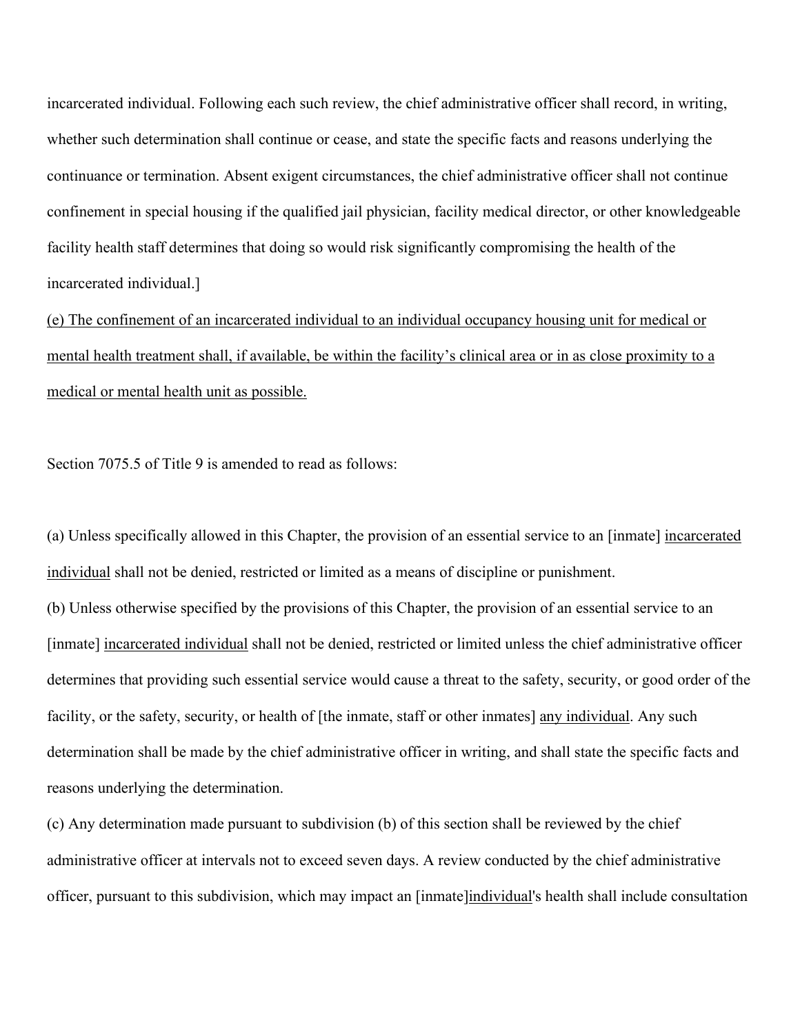incarcerated individual. Following each such review, the chief administrative officer shall record, in writing, whether such determination shall continue or cease, and state the specific facts and reasons underlying the continuance or termination. Absent exigent circumstances, the chief administrative officer shall not continue confinement in special housing if the qualified jail physician, facility medical director, or other knowledgeable facility health staff determines that doing so would risk significantly compromising the health of the incarcerated individual.]

(e) The confinement of an incarcerated individual to an individual occupancy housing unit for medical or mental health treatment shall, if available, be within the facility's clinical area or in as close proximity to a medical or mental health unit as possible.

Section 7075.5 of Title 9 is amended to read as follows:

(a) Unless specifically allowed in this Chapter, the provision of an essential service to an [inmate] incarcerated individual shall not be denied, restricted or limited as a means of discipline or punishment.

(b) Unless otherwise specified by the provisions of this Chapter, the provision of an essential service to an [inmate] incarcerated individual shall not be denied, restricted or limited unless the chief administrative officer determines that providing such essential service would cause a threat to the safety, security, or good order of the facility, or the safety, security, or health of [the inmate, staff or other inmates] any individual. Any such determination shall be made by the chief administrative officer in writing, and shall state the specific facts and reasons underlying the determination.

(c) Any determination made pursuant to subdivision (b) of this section shall be reviewed by the chief administrative officer at intervals not to exceed seven days. A review conducted by the chief administrative officer, pursuant to this subdivision, which may impact an [inmate]individual's health shall include consultation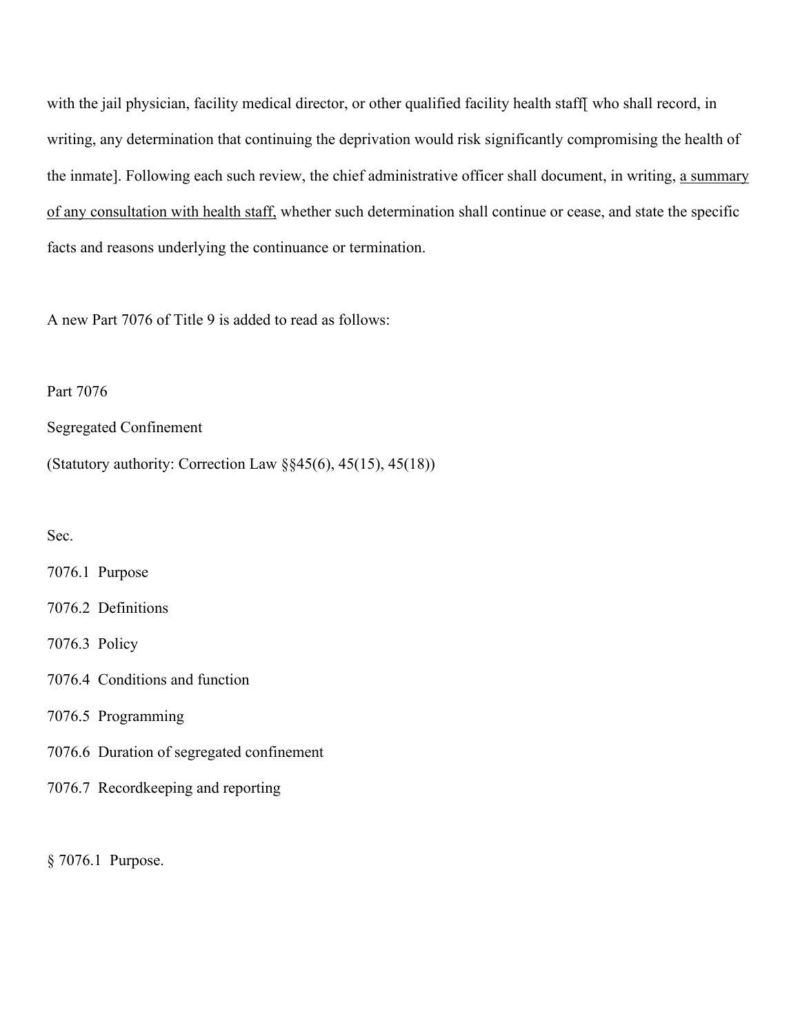with the jail physician, facility medical director, or other qualified facility health staff[ who shall record, in writing, any determination that continuing the deprivation would risk significantly compromising the health of the inmate]. Following each such review, the chief administrative officer shall document, in writing, a summary of any consultation with health staff, whether such determination shall continue or cease, and state the specific facts and reasons underlying the continuance or termination.

A new Part 7076 of Title 9 is added to read as follows:

# Part 7076

Segregated Confinement

(Statutory authority: Correction Law §§45(6), 45(15), 45(18))

#### Sec.

7076.1 Purpose

- 7076.2 Definitions
- 7076.3 Policy
- 7076.4 Conditions and function
- 7076.5 Programming
- 7076.6 Duration of segregated confinement
- 7076.7 Recordkeeping and reporting

§ 7076.1 Purpose.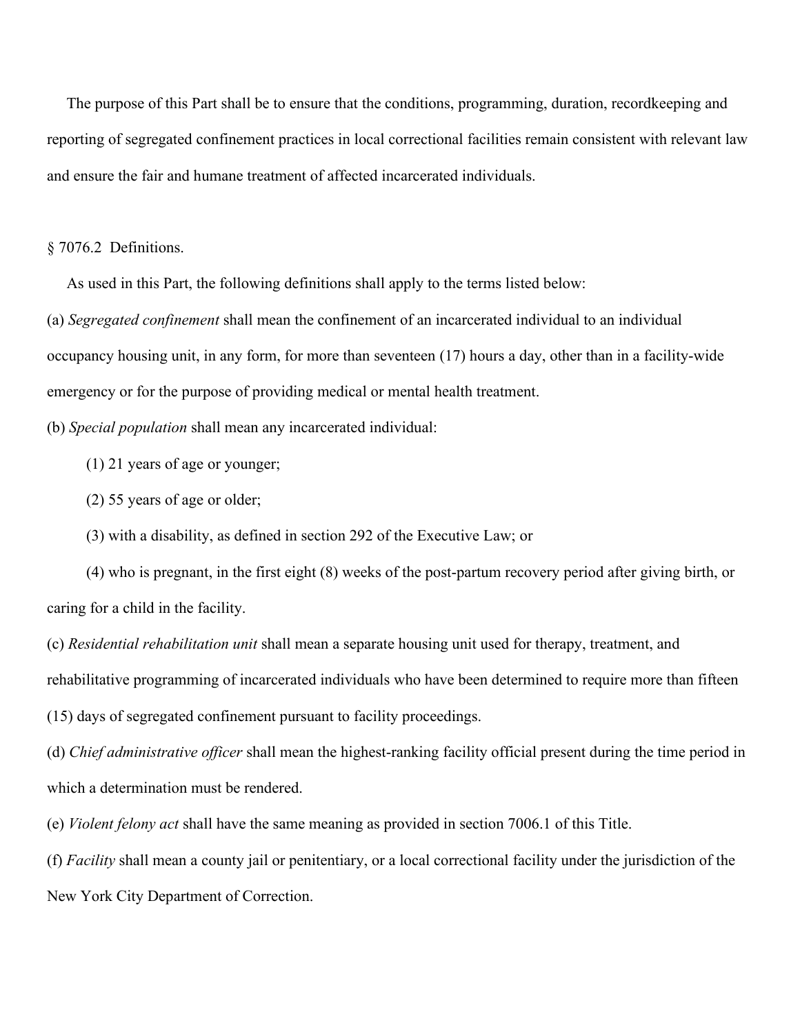The purpose of this Part shall be to ensure that the conditions, programming, duration, recordkeeping and reporting of segregated confinement practices in local correctional facilities remain consistent with relevant law and ensure the fair and humane treatment of affected incarcerated individuals.

§ 7076.2 Definitions.

As used in this Part, the following definitions shall apply to the terms listed below:

(a) *Segregated confinement* shall mean the confinement of an incarcerated individual to an individual occupancy housing unit, in any form, for more than seventeen (17) hours a day, other than in a facility-wide emergency or for the purpose of providing medical or mental health treatment.

(b) *Special population* shall mean any incarcerated individual:

(1) 21 years of age or younger;

(2) 55 years of age or older;

(3) with a disability, as defined in section 292 of the Executive Law; or

 (4) who is pregnant, in the first eight (8) weeks of the post-partum recovery period after giving birth, or caring for a child in the facility.

(c) *Residential rehabilitation unit* shall mean a separate housing unit used for therapy, treatment, and rehabilitative programming of incarcerated individuals who have been determined to require more than fifteen (15) days of segregated confinement pursuant to facility proceedings.

(d) *Chief administrative officer* shall mean the highest-ranking facility official present during the time period in which a determination must be rendered.

(e) *Violent felony act* shall have the same meaning as provided in section 7006.1 of this Title.

(f) *Facility* shall mean a county jail or penitentiary, or a local correctional facility under the jurisdiction of the New York City Department of Correction.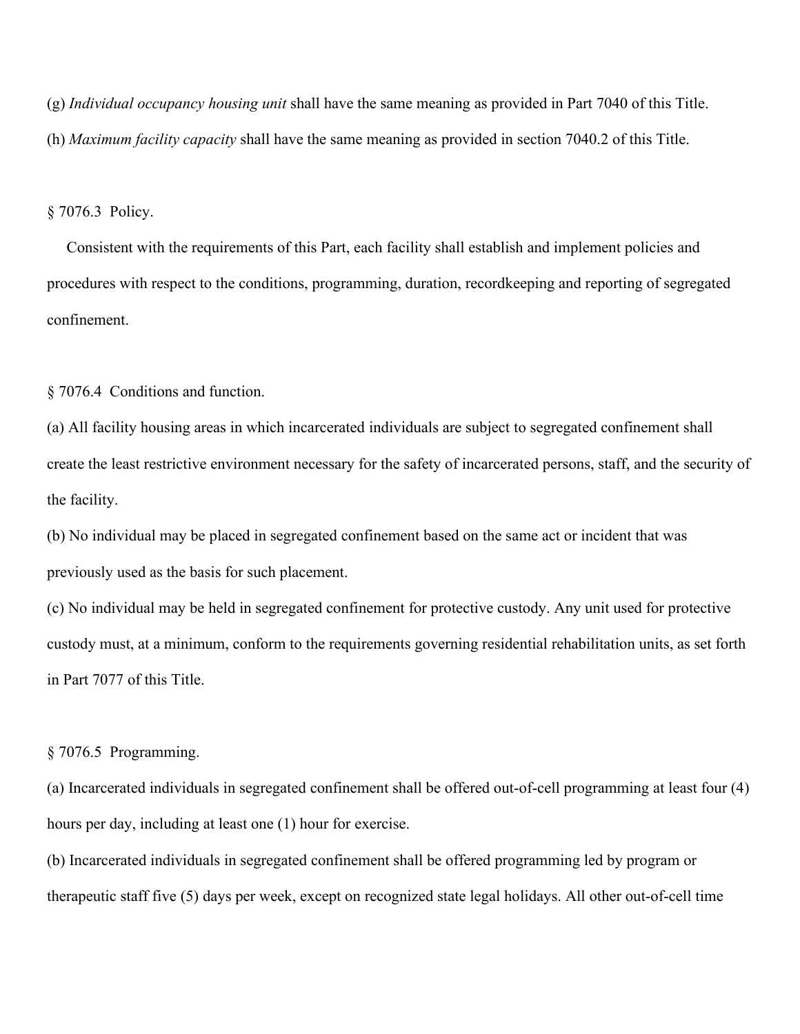(g) *Individual occupancy housing unit* shall have the same meaning as provided in Part 7040 of this Title.

(h) *Maximum facility capacity* shall have the same meaning as provided in section 7040.2 of this Title.

§ 7076.3 Policy.

 Consistent with the requirements of this Part, each facility shall establish and implement policies and procedures with respect to the conditions, programming, duration, recordkeeping and reporting of segregated confinement.

§ 7076.4 Conditions and function.

(a) All facility housing areas in which incarcerated individuals are subject to segregated confinement shall create the least restrictive environment necessary for the safety of incarcerated persons, staff, and the security of the facility.

(b) No individual may be placed in segregated confinement based on the same act or incident that was previously used as the basis for such placement.

(c) No individual may be held in segregated confinement for protective custody. Any unit used for protective custody must, at a minimum, conform to the requirements governing residential rehabilitation units, as set forth in Part 7077 of this Title.

§ 7076.5 Programming.

(a) Incarcerated individuals in segregated confinement shall be offered out-of-cell programming at least four (4) hours per day, including at least one (1) hour for exercise.

(b) Incarcerated individuals in segregated confinement shall be offered programming led by program or therapeutic staff five (5) days per week, except on recognized state legal holidays. All other out-of-cell time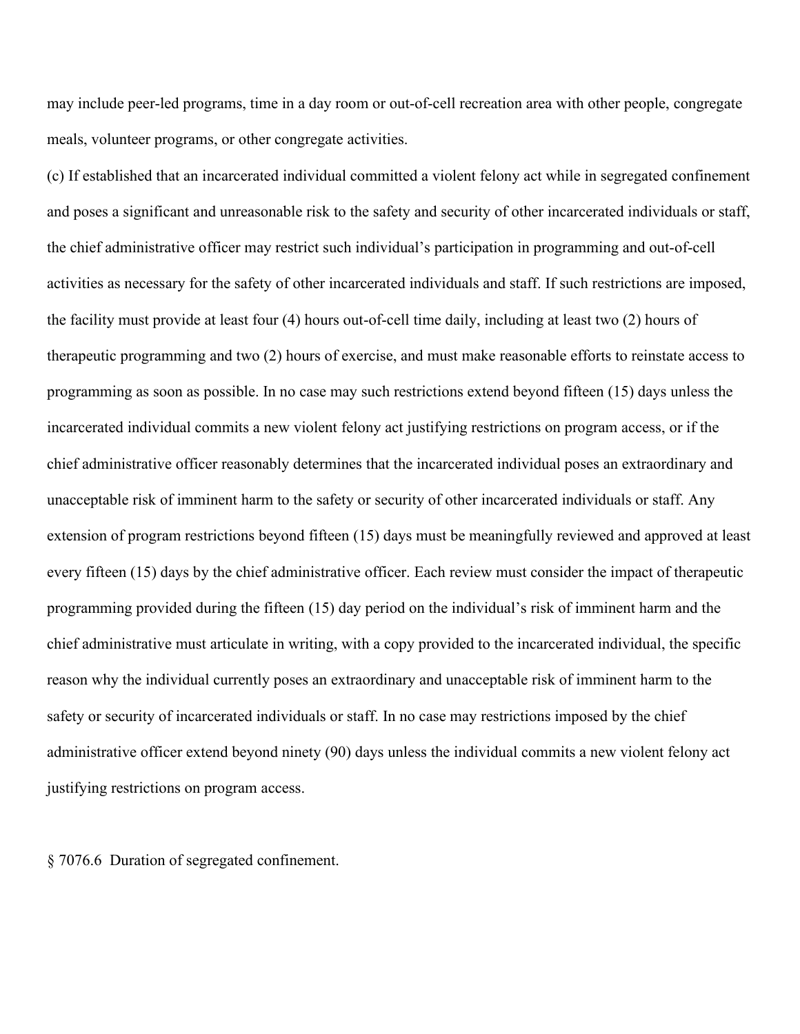may include peer-led programs, time in a day room or out-of-cell recreation area with other people, congregate meals, volunteer programs, or other congregate activities.

(c) If established that an incarcerated individual committed a violent felony act while in segregated confinement and poses a significant and unreasonable risk to the safety and security of other incarcerated individuals or staff, the chief administrative officer may restrict such individual's participation in programming and out-of-cell activities as necessary for the safety of other incarcerated individuals and staff. If such restrictions are imposed, the facility must provide at least four (4) hours out-of-cell time daily, including at least two (2) hours of therapeutic programming and two (2) hours of exercise, and must make reasonable efforts to reinstate access to programming as soon as possible. In no case may such restrictions extend beyond fifteen (15) days unless the incarcerated individual commits a new violent felony act justifying restrictions on program access, or if the chief administrative officer reasonably determines that the incarcerated individual poses an extraordinary and unacceptable risk of imminent harm to the safety or security of other incarcerated individuals or staff. Any extension of program restrictions beyond fifteen (15) days must be meaningfully reviewed and approved at least every fifteen (15) days by the chief administrative officer. Each review must consider the impact of therapeutic programming provided during the fifteen (15) day period on the individual's risk of imminent harm and the chief administrative must articulate in writing, with a copy provided to the incarcerated individual, the specific reason why the individual currently poses an extraordinary and unacceptable risk of imminent harm to the safety or security of incarcerated individuals or staff. In no case may restrictions imposed by the chief administrative officer extend beyond ninety (90) days unless the individual commits a new violent felony act justifying restrictions on program access.

§ 7076.6 Duration of segregated confinement.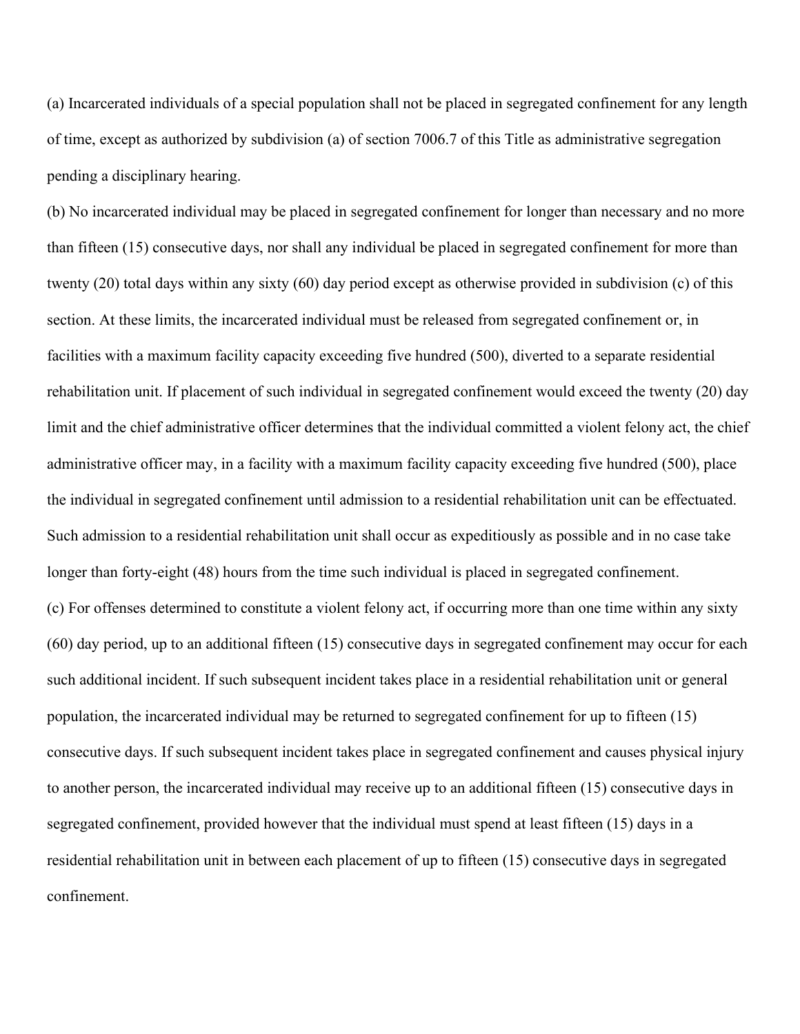(a) Incarcerated individuals of a special population shall not be placed in segregated confinement for any length of time, except as authorized by subdivision (a) of section 7006.7 of this Title as administrative segregation pending a disciplinary hearing.

(b) No incarcerated individual may be placed in segregated confinement for longer than necessary and no more than fifteen (15) consecutive days, nor shall any individual be placed in segregated confinement for more than twenty (20) total days within any sixty (60) day period except as otherwise provided in subdivision (c) of this section. At these limits, the incarcerated individual must be released from segregated confinement or, in facilities with a maximum facility capacity exceeding five hundred (500), diverted to a separate residential rehabilitation unit. If placement of such individual in segregated confinement would exceed the twenty (20) day limit and the chief administrative officer determines that the individual committed a violent felony act, the chief administrative officer may, in a facility with a maximum facility capacity exceeding five hundred (500), place the individual in segregated confinement until admission to a residential rehabilitation unit can be effectuated. Such admission to a residential rehabilitation unit shall occur as expeditiously as possible and in no case take longer than forty-eight (48) hours from the time such individual is placed in segregated confinement. (c) For offenses determined to constitute a violent felony act, if occurring more than one time within any sixty (60) day period, up to an additional fifteen (15) consecutive days in segregated confinement may occur for each such additional incident. If such subsequent incident takes place in a residential rehabilitation unit or general population, the incarcerated individual may be returned to segregated confinement for up to fifteen (15) consecutive days. If such subsequent incident takes place in segregated confinement and causes physical injury to another person, the incarcerated individual may receive up to an additional fifteen (15) consecutive days in segregated confinement, provided however that the individual must spend at least fifteen (15) days in a residential rehabilitation unit in between each placement of up to fifteen (15) consecutive days in segregated confinement.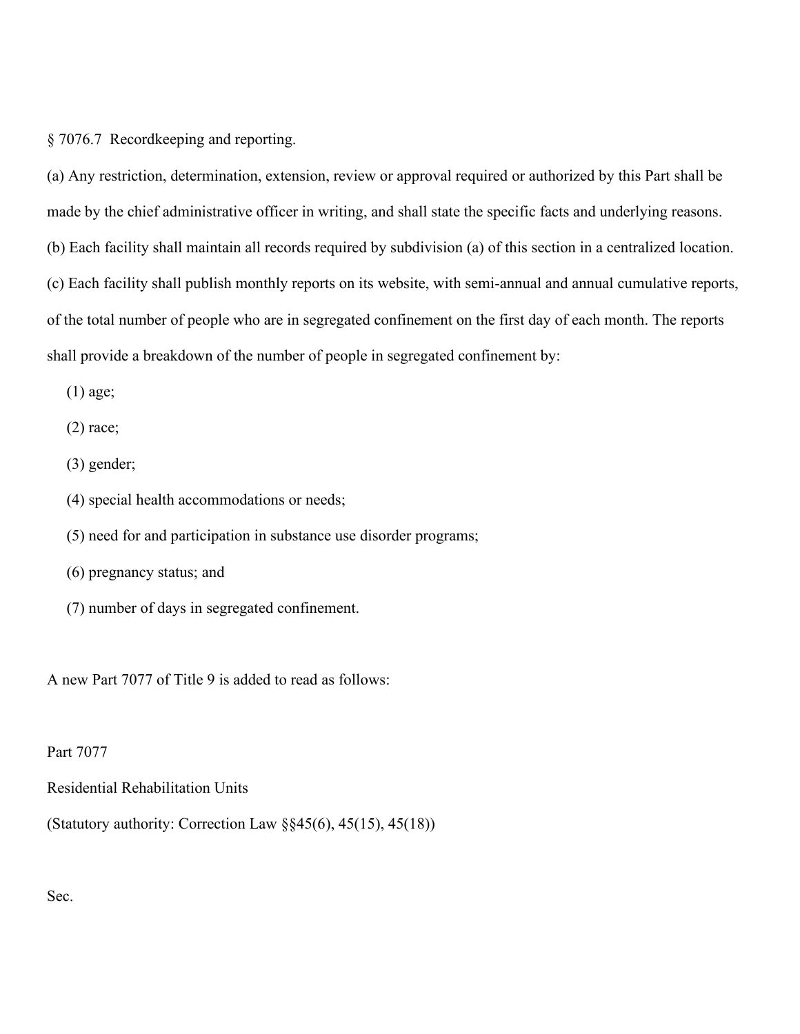§ 7076.7 Recordkeeping and reporting.

(a) Any restriction, determination, extension, review or approval required or authorized by this Part shall be made by the chief administrative officer in writing, and shall state the specific facts and underlying reasons. (b) Each facility shall maintain all records required by subdivision (a) of this section in a centralized location. (c) Each facility shall publish monthly reports on its website, with semi-annual and annual cumulative reports, of the total number of people who are in segregated confinement on the first day of each month. The reports shall provide a breakdown of the number of people in segregated confinement by:

(1) age;

(2) race;

(3) gender;

(4) special health accommodations or needs;

(5) need for and participation in substance use disorder programs;

(6) pregnancy status; and

(7) number of days in segregated confinement.

A new Part 7077 of Title 9 is added to read as follows:

Part 7077

Residential Rehabilitation Units

(Statutory authority: Correction Law §§45(6), 45(15), 45(18))

Sec.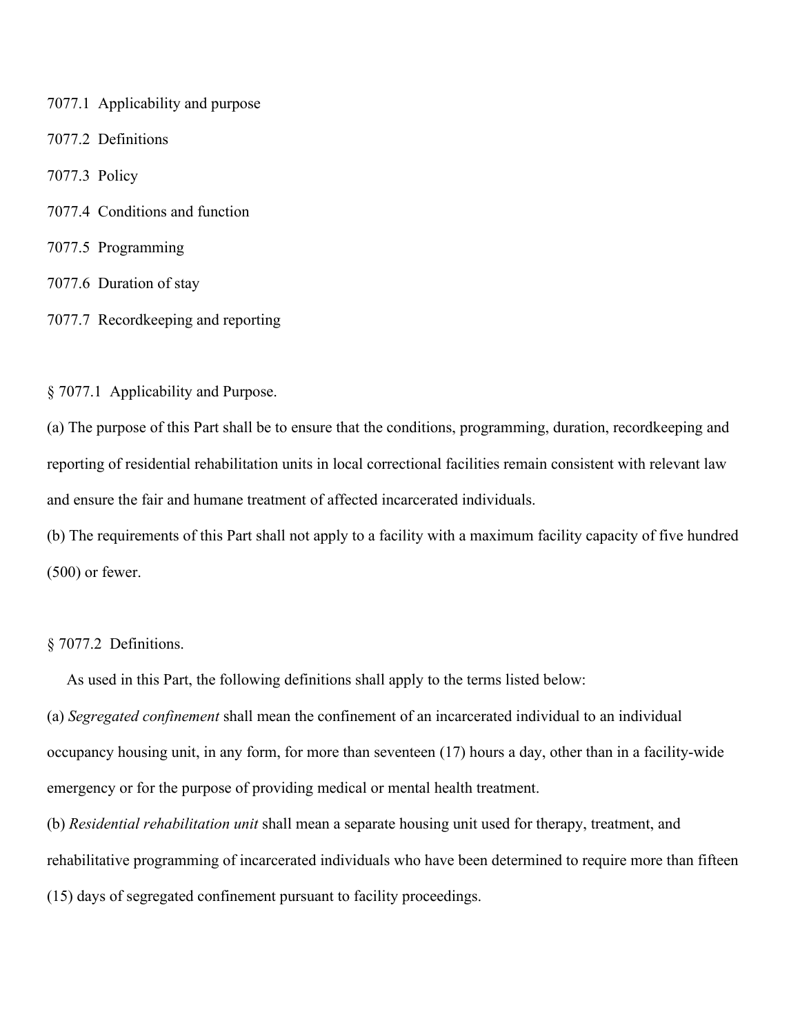- 7077.1 Applicability and purpose
- 7077.2 Definitions
- 7077.3 Policy
- 7077.4 Conditions and function
- 7077.5 Programming
- 7077.6 Duration of stay
- 7077.7 Recordkeeping and reporting

§ 7077.1 Applicability and Purpose.

(a) The purpose of this Part shall be to ensure that the conditions, programming, duration, recordkeeping and reporting of residential rehabilitation units in local correctional facilities remain consistent with relevant law and ensure the fair and humane treatment of affected incarcerated individuals.

(b) The requirements of this Part shall not apply to a facility with a maximum facility capacity of five hundred (500) or fewer.

§ 7077.2 Definitions.

As used in this Part, the following definitions shall apply to the terms listed below:

(a) *Segregated confinement* shall mean the confinement of an incarcerated individual to an individual occupancy housing unit, in any form, for more than seventeen (17) hours a day, other than in a facility-wide emergency or for the purpose of providing medical or mental health treatment.

(b) *Residential rehabilitation unit* shall mean a separate housing unit used for therapy, treatment, and rehabilitative programming of incarcerated individuals who have been determined to require more than fifteen (15) days of segregated confinement pursuant to facility proceedings.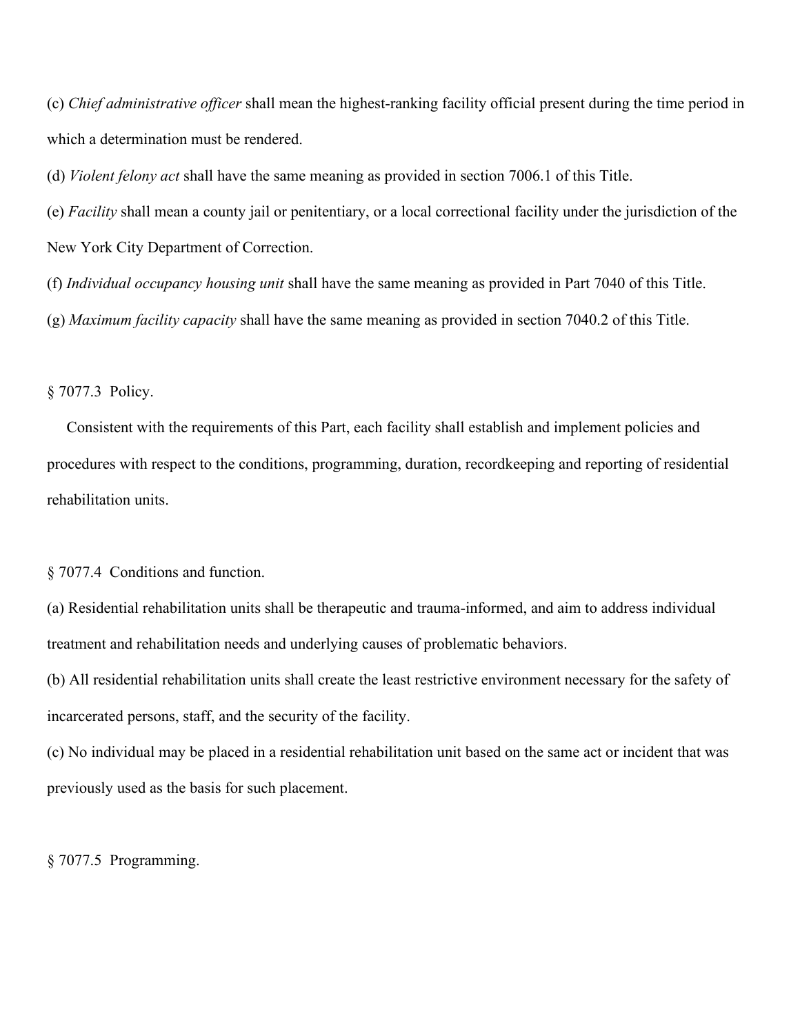(c) *Chief administrative officer* shall mean the highest-ranking facility official present during the time period in which a determination must be rendered.

(d) *Violent felony act* shall have the same meaning as provided in section 7006.1 of this Title.

(e) *Facility* shall mean a county jail or penitentiary, or a local correctional facility under the jurisdiction of the New York City Department of Correction.

(f) *Individual occupancy housing unit* shall have the same meaning as provided in Part 7040 of this Title.

(g) *Maximum facility capacity* shall have the same meaning as provided in section 7040.2 of this Title.

§ 7077.3 Policy.

 Consistent with the requirements of this Part, each facility shall establish and implement policies and procedures with respect to the conditions, programming, duration, recordkeeping and reporting of residential rehabilitation units.

§ 7077.4 Conditions and function.

(a) Residential rehabilitation units shall be therapeutic and trauma-informed, and aim to address individual treatment and rehabilitation needs and underlying causes of problematic behaviors.

(b) All residential rehabilitation units shall create the least restrictive environment necessary for the safety of incarcerated persons, staff, and the security of the facility.

(c) No individual may be placed in a residential rehabilitation unit based on the same act or incident that was previously used as the basis for such placement.

§ 7077.5 Programming.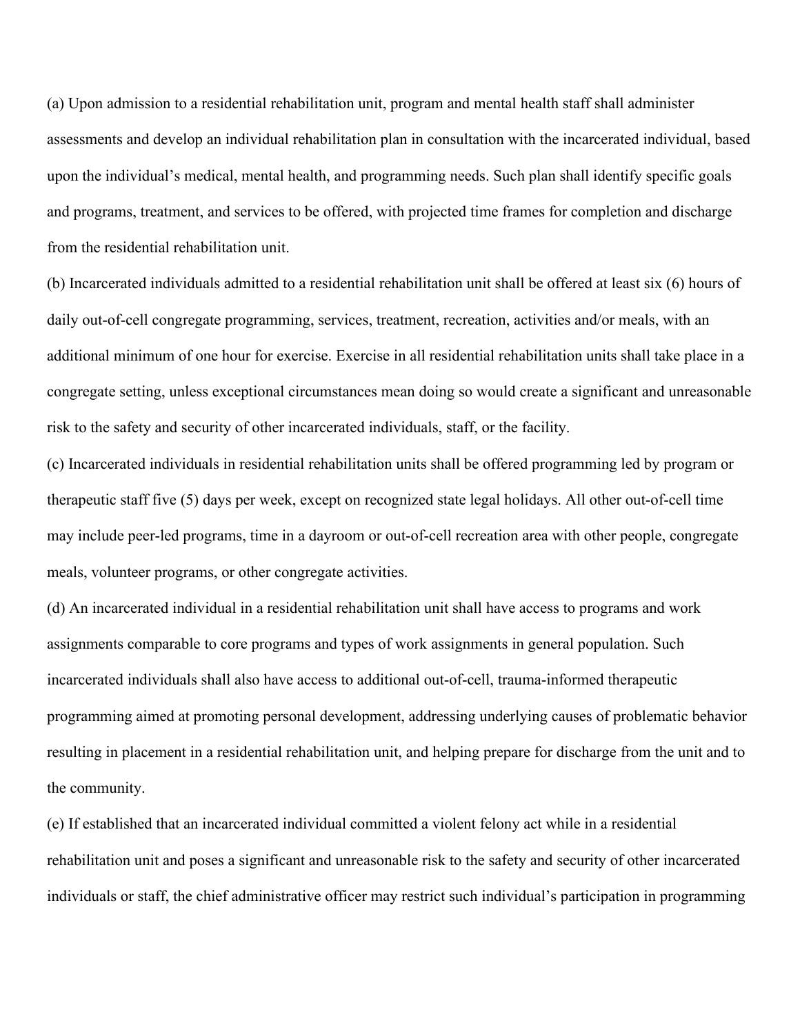(a) Upon admission to a residential rehabilitation unit, program and mental health staff shall administer assessments and develop an individual rehabilitation plan in consultation with the incarcerated individual, based upon the individual's medical, mental health, and programming needs. Such plan shall identify specific goals and programs, treatment, and services to be offered, with projected time frames for completion and discharge from the residential rehabilitation unit.

(b) Incarcerated individuals admitted to a residential rehabilitation unit shall be offered at least six (6) hours of daily out-of-cell congregate programming, services, treatment, recreation, activities and/or meals, with an additional minimum of one hour for exercise. Exercise in all residential rehabilitation units shall take place in a congregate setting, unless exceptional circumstances mean doing so would create a significant and unreasonable risk to the safety and security of other incarcerated individuals, staff, or the facility.

(c) Incarcerated individuals in residential rehabilitation units shall be offered programming led by program or therapeutic staff five (5) days per week, except on recognized state legal holidays. All other out-of-cell time may include peer-led programs, time in a dayroom or out-of-cell recreation area with other people, congregate meals, volunteer programs, or other congregate activities.

(d) An incarcerated individual in a residential rehabilitation unit shall have access to programs and work assignments comparable to core programs and types of work assignments in general population. Such incarcerated individuals shall also have access to additional out-of-cell, trauma-informed therapeutic programming aimed at promoting personal development, addressing underlying causes of problematic behavior resulting in placement in a residential rehabilitation unit, and helping prepare for discharge from the unit and to the community.

(e) If established that an incarcerated individual committed a violent felony act while in a residential rehabilitation unit and poses a significant and unreasonable risk to the safety and security of other incarcerated individuals or staff, the chief administrative officer may restrict such individual's participation in programming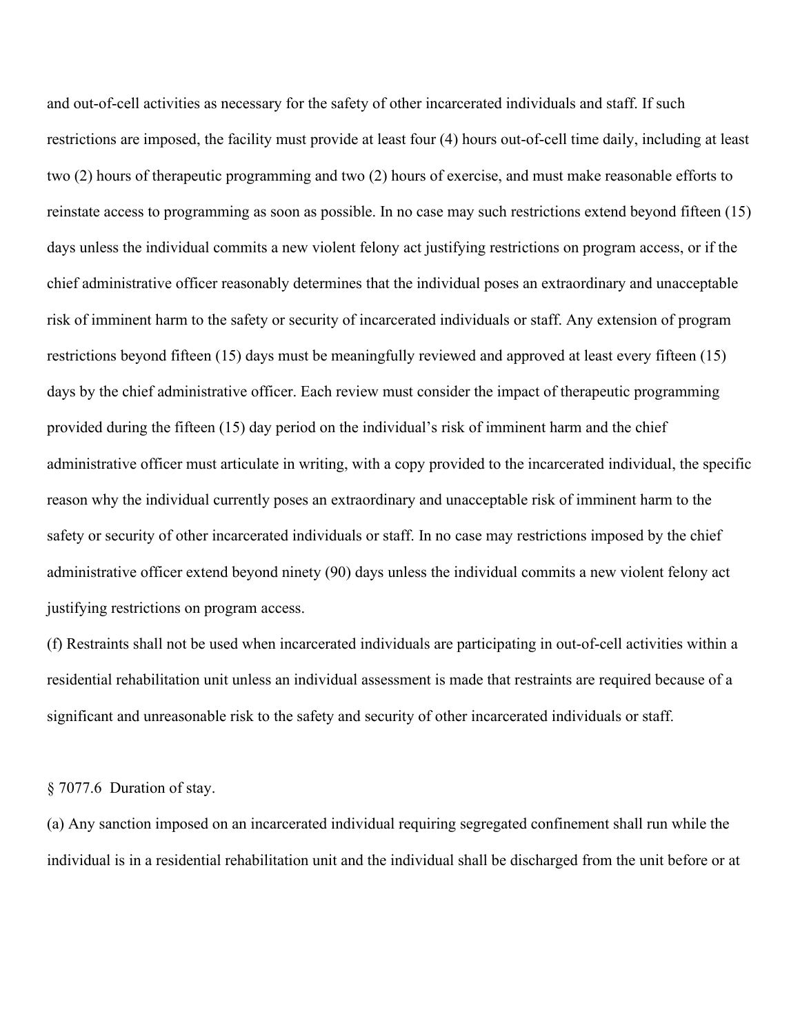and out-of-cell activities as necessary for the safety of other incarcerated individuals and staff. If such restrictions are imposed, the facility must provide at least four (4) hours out-of-cell time daily, including at least two (2) hours of therapeutic programming and two (2) hours of exercise, and must make reasonable efforts to reinstate access to programming as soon as possible. In no case may such restrictions extend beyond fifteen (15) days unless the individual commits a new violent felony act justifying restrictions on program access, or if the chief administrative officer reasonably determines that the individual poses an extraordinary and unacceptable risk of imminent harm to the safety or security of incarcerated individuals or staff. Any extension of program restrictions beyond fifteen (15) days must be meaningfully reviewed and approved at least every fifteen (15) days by the chief administrative officer. Each review must consider the impact of therapeutic programming provided during the fifteen (15) day period on the individual's risk of imminent harm and the chief administrative officer must articulate in writing, with a copy provided to the incarcerated individual, the specific reason why the individual currently poses an extraordinary and unacceptable risk of imminent harm to the safety or security of other incarcerated individuals or staff. In no case may restrictions imposed by the chief administrative officer extend beyond ninety (90) days unless the individual commits a new violent felony act justifying restrictions on program access.

(f) Restraints shall not be used when incarcerated individuals are participating in out-of-cell activities within a residential rehabilitation unit unless an individual assessment is made that restraints are required because of a significant and unreasonable risk to the safety and security of other incarcerated individuals or staff.

## § 7077.6 Duration of stay.

(a) Any sanction imposed on an incarcerated individual requiring segregated confinement shall run while the individual is in a residential rehabilitation unit and the individual shall be discharged from the unit before or at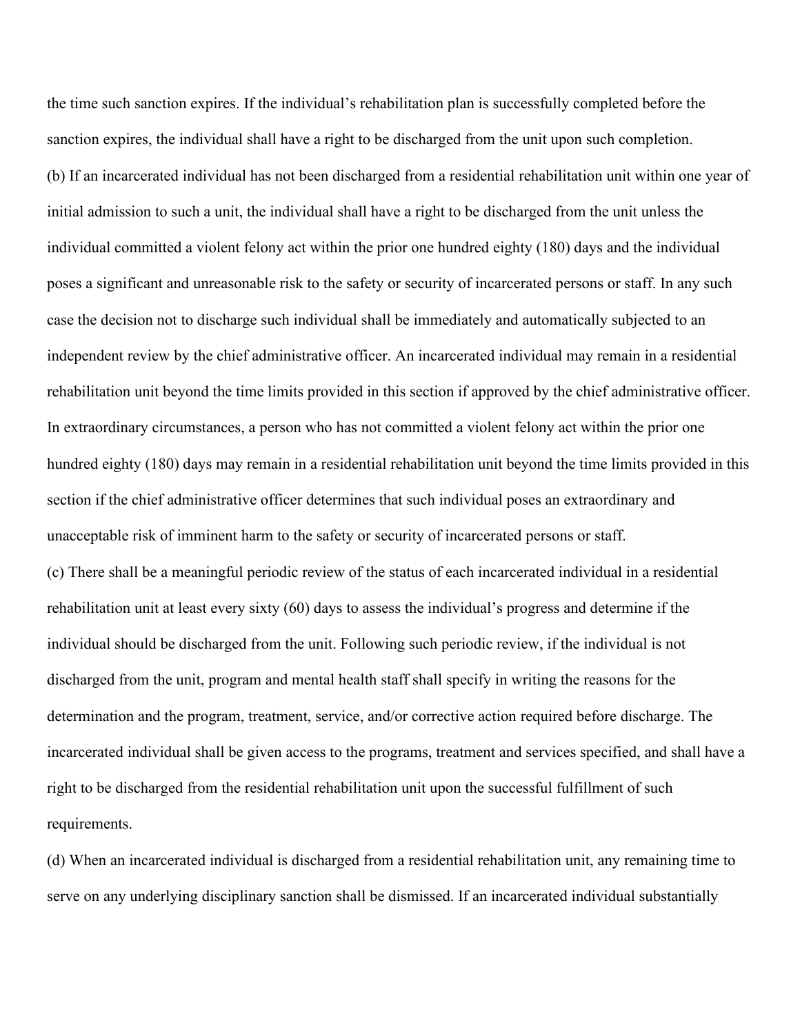the time such sanction expires. If the individual's rehabilitation plan is successfully completed before the sanction expires, the individual shall have a right to be discharged from the unit upon such completion. (b) If an incarcerated individual has not been discharged from a residential rehabilitation unit within one year of initial admission to such a unit, the individual shall have a right to be discharged from the unit unless the individual committed a violent felony act within the prior one hundred eighty (180) days and the individual poses a significant and unreasonable risk to the safety or security of incarcerated persons or staff. In any such case the decision not to discharge such individual shall be immediately and automatically subjected to an independent review by the chief administrative officer. An incarcerated individual may remain in a residential rehabilitation unit beyond the time limits provided in this section if approved by the chief administrative officer. In extraordinary circumstances, a person who has not committed a violent felony act within the prior one hundred eighty (180) days may remain in a residential rehabilitation unit beyond the time limits provided in this section if the chief administrative officer determines that such individual poses an extraordinary and unacceptable risk of imminent harm to the safety or security of incarcerated persons or staff. (c) There shall be a meaningful periodic review of the status of each incarcerated individual in a residential rehabilitation unit at least every sixty (60) days to assess the individual's progress and determine if the individual should be discharged from the unit. Following such periodic review, if the individual is not discharged from the unit, program and mental health staff shall specify in writing the reasons for the determination and the program, treatment, service, and/or corrective action required before discharge. The incarcerated individual shall be given access to the programs, treatment and services specified, and shall have a right to be discharged from the residential rehabilitation unit upon the successful fulfillment of such requirements.

(d) When an incarcerated individual is discharged from a residential rehabilitation unit, any remaining time to serve on any underlying disciplinary sanction shall be dismissed. If an incarcerated individual substantially